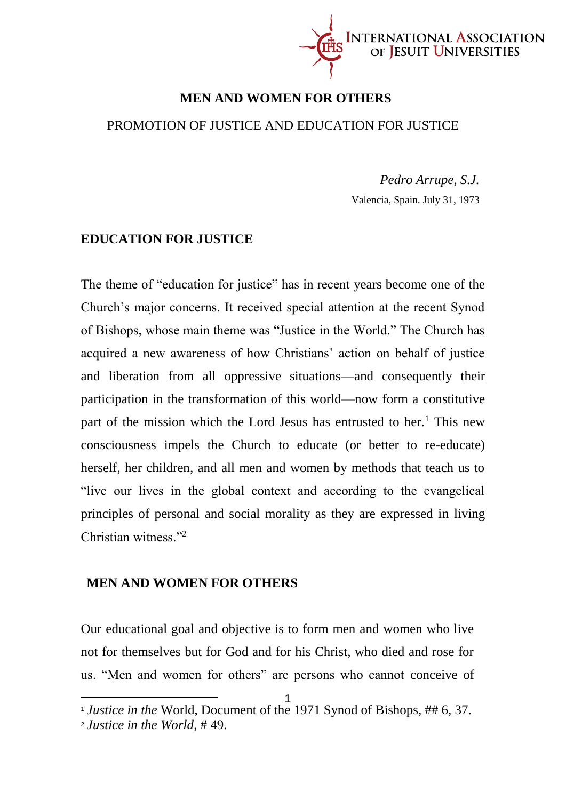

## **MEN AND WOMEN FOR OTHERS** PROMOTION OF JUSTICE AND EDUCATION FOR JUSTICE

*Pedro Arrupe, S.J.* Valencia, Spain. July 31, 1973

#### **EDUCATION FOR JUSTICE**

The theme of "education for justice" has in recent years become one of the Church's major concerns. It received special attention at the recent Synod of Bishops, whose main theme was "Justice in the World." The Church has acquired a new awareness of how Christians' action on behalf of justice and liberation from all oppressive situations—and consequently their participation in the transformation of this world—now form a constitutive part of the mission which the Lord Jesus has entrusted to her.<sup>[1](#page-1-0)</sup> This new consciousness impels the Church to educate (or better to re-educate) herself, her children, and all men and women by methods that teach us to "live our lives in the global context and according to the evangelical principles of personal and social morality as they are expressed in living Christian witness."<sup>2</sup>

#### **MEN AND WOMEN FOR OTHERS**

Our educational goal and objective is to form men and women who live not for themselves but for God and for his Christ, who died and rose for us. "Men and women for others" are persons who cannot conceive of

1

<sup>1</sup> <sup>1</sup> *Justice in the* World, Document of the 1971 Synod of Bishops, ## 6, 37.

<sup>2</sup> *Justice in the World,* # 49.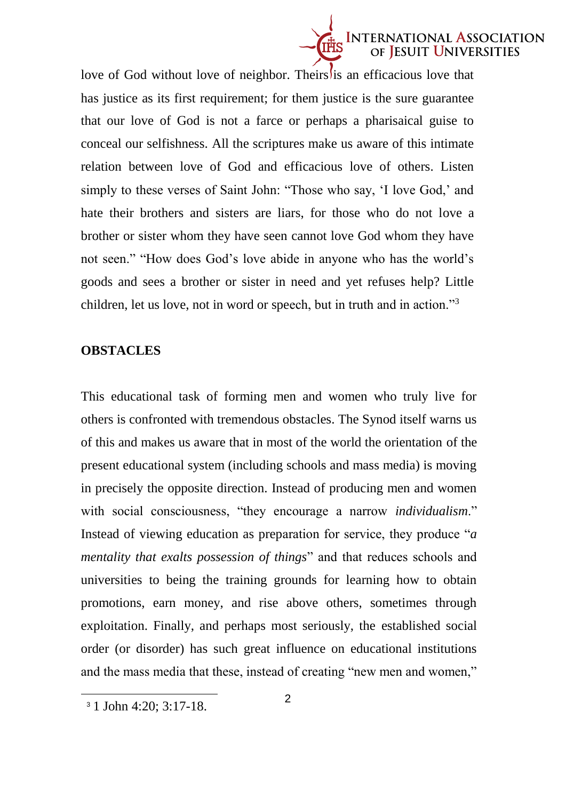love of God without love of neighbor. Theirs is an efficacious love that has justice as its first requirement; for them justice is the sure guarantee that our love of God is not a farce or perhaps a pharisaical guise to conceal our selfishness. All the scriptures make us aware of this intimate relation between love of God and efficacious love of others. Listen simply to these verses of Saint John: "Those who say, 'I love God,' and hate their brothers and sisters are liars, for those who do not love a brother or sister whom they have seen cannot love God whom they have not seen." "How does God's love abide in anyone who has the world's goods and sees a brother or sister in need and yet refuses help? Little children, let us love, not in word or speech, but in truth and in action."<sup>3</sup>

#### **OBSTACLES**

This educational task of forming men and women who truly live for others is confronted with tremendous obstacles. The Synod itself warns us of this and makes us aware that in most of the world the orientation of the present educational system (including schools and mass media) is moving in precisely the opposite direction. Instead of producing men and women with social consciousness, "they encourage a narrow *individualism*." Instead of viewing education as preparation for service, they produce "*a mentality that exalts possession of things*" and that reduces schools and universities to being the training grounds for learning how to obtain promotions, earn money, and rise above others, sometimes through exploitation. Finally, and perhaps most seriously, the established social order (or disorder) has such great influence on educational institutions and the mass media that these, instead of creating "new men and women,"

<span id="page-1-0"></span><sup>3</sup> 1 John 4:20; 3:17-18.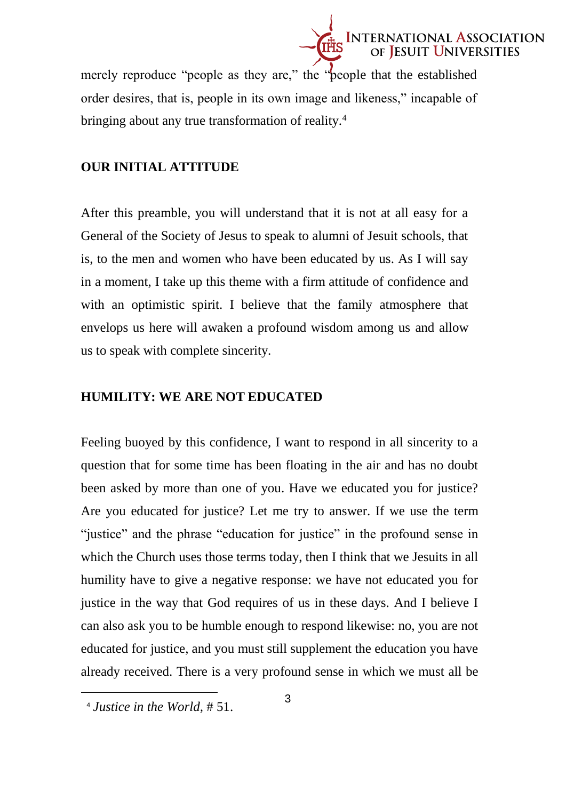

merely reproduce "people as they are," the "people that the established order desires, that is, people in its own image and likeness," incapable of bringing about any true transformation of reality.<sup>4</sup>

### **OUR INITIAL ATTITUDE**

After this preamble, you will understand that it is not at all easy for a General of the Society of Jesus to speak to alumni of Jesuit schools, that is, to the men and women who have been educated by us. As I will say in a moment, I take up this theme with a firm attitude of confidence and with an optimistic spirit. I believe that the family atmosphere that envelops us here will awaken a profound wisdom among us and allow us to speak with complete sincerity.

#### **HUMILITY: WE ARE NOT EDUCATED**

Feeling buoyed by this confidence, I want to respond in all sincerity to a question that for some time has been floating in the air and has no doubt been asked by more than one of you. Have we educated you for justice? Are you educated for justice? Let me try to answer. If we use the term "justice" and the phrase "education for justice" in the profound sense in which the Church uses those terms today, then I think that we Jesuits in all humility have to give a negative response: we have not educated you for justice in the way that God requires of us in these days. And I believe I can also ask you to be humble enough to respond likewise: no, you are not educated for justice, and you must still supplement the education you have already received. There is a very profound sense in which we must all be

<sup>4</sup> *Justice in the World,* # 51.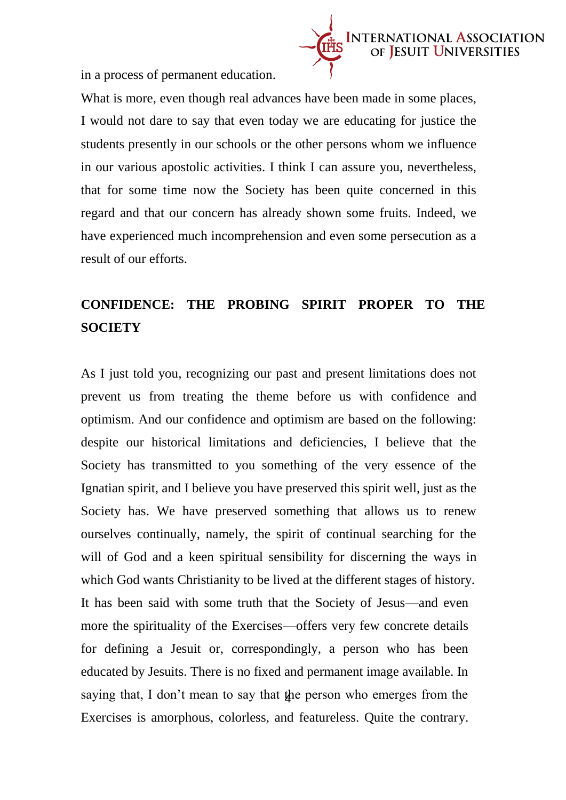in a process of permanent education.

What is more, even though real advances have been made in some places, I would not dare to say that even today we are educating for justice the students presently in our schools or the other persons whom we influence in our various apostolic activities. I think I can assure you, nevertheless, that for some time now the Society has been quite concerned in this regard and that our concern has already shown some fruits. Indeed, we have experienced much incomprehension and even some persecution as a result of our efforts.

INTERNATIONAL ASSOCIATION<br>OF JESUIT UNIVERSITIES

## **CONFIDENCE: THE PROBING SPIRIT PROPER TO THE SOCIETY**

saying that, I don't mean to say that the person who emerges from the As I just told you, recognizing our past and present limitations does not prevent us from treating the theme before us with confidence and optimism. And our confidence and optimism are based on the following: despite our historical limitations and deficiencies, I believe that the Society has transmitted to you something of the very essence of the Ignatian spirit, and I believe you have preserved this spirit well, just as the Society has. We have preserved something that allows us to renew ourselves continually, namely, the spirit of continual searching for the will of God and a keen spiritual sensibility for discerning the ways in which God wants Christianity to be lived at the different stages of history. It has been said with some truth that the Society of Jesus—and even more the spirituality of the Exercises—offers very few concrete details for defining a Jesuit or, correspondingly, a person who has been educated by Jesuits. There is no fixed and permanent image available. In Exercises is amorphous, colorless, and featureless. Quite the contrary.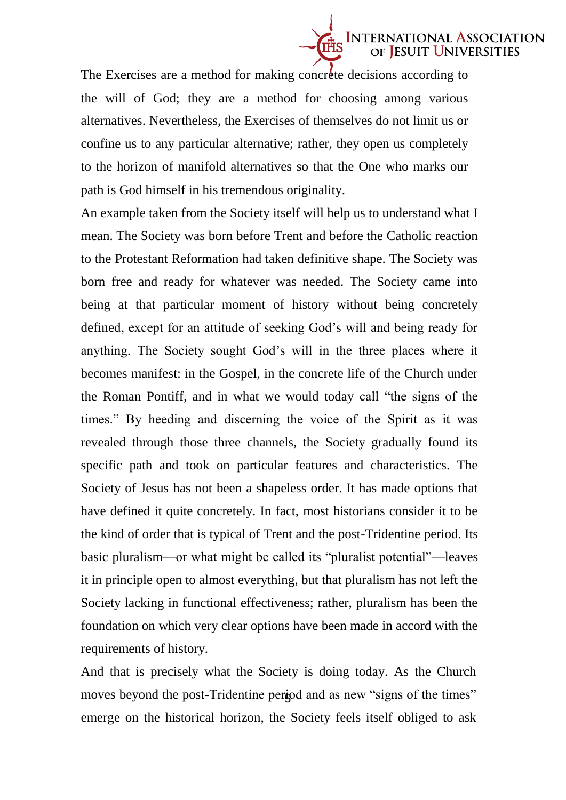The Exercises are a method for making concrete decisions according to the will of God; they are a method for choosing among various alternatives. Nevertheless, the Exercises of themselves do not limit us or confine us to any particular alternative; rather, they open us completely to the horizon of manifold alternatives so that the One who marks our path is God himself in his tremendous originality.

An example taken from the Society itself will help us to understand what I mean. The Society was born before Trent and before the Catholic reaction to the Protestant Reformation had taken definitive shape. The Society was born free and ready for whatever was needed. The Society came into being at that particular moment of history without being concretely defined, except for an attitude of seeking God's will and being ready for anything. The Society sought God's will in the three places where it becomes manifest: in the Gospel, in the concrete life of the Church under the Roman Pontiff, and in what we would today call "the signs of the times." By heeding and discerning the voice of the Spirit as it was revealed through those three channels, the Society gradually found its specific path and took on particular features and characteristics. The Society of Jesus has not been a shapeless order. It has made options that have defined it quite concretely. In fact, most historians consider it to be the kind of order that is typical of Trent and the post-Tridentine period. Its basic pluralism—or what might be called its "pluralist potential"—leaves it in principle open to almost everything, but that pluralism has not left the Society lacking in functional effectiveness; rather, pluralism has been the foundation on which very clear options have been made in accord with the requirements of history.

moves beyond the post-Tridentine period and as new "signs of the times" And that is precisely what the Society is doing today. As the Church emerge on the historical horizon, the Society feels itself obliged to ask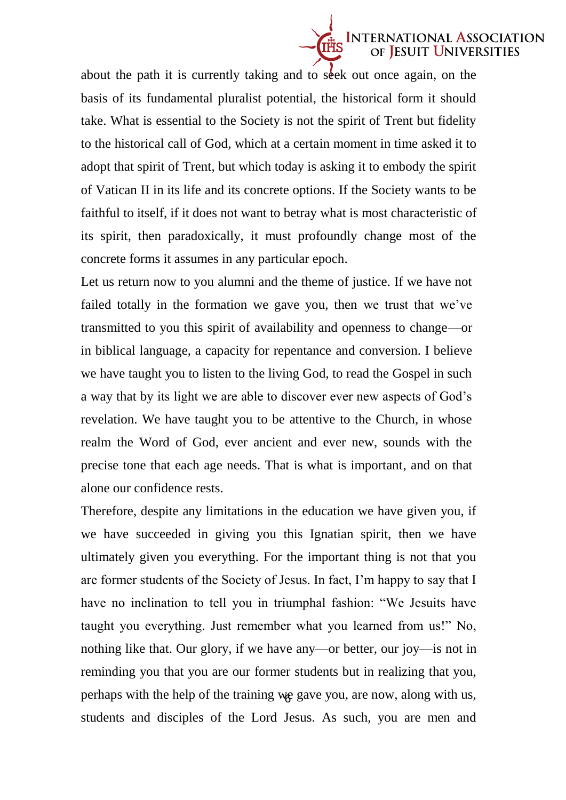about the path it is currently taking and to seek out once again, on the basis of its fundamental pluralist potential, the historical form it should take. What is essential to the Society is not the spirit of Trent but fidelity to the historical call of God, which at a certain moment in time asked it to adopt that spirit of Trent, but which today is asking it to embody the spirit of Vatican II in its life and its concrete options. If the Society wants to be faithful to itself, if it does not want to betray what is most characteristic of its spirit, then paradoxically, it must profoundly change most of the concrete forms it assumes in any particular epoch.

Let us return now to you alumni and the theme of justice. If we have not failed totally in the formation we gave you, then we trust that we've transmitted to you this spirit of availability and openness to change—or in biblical language, a capacity for repentance and conversion. I believe we have taught you to listen to the living God, to read the Gospel in such a way that by its light we are able to discover ever new aspects of God's revelation. We have taught you to be attentive to the Church, in whose realm the Word of God, ever ancient and ever new, sounds with the precise tone that each age needs. That is what is important, and on that alone our confidence rests.

perhaps with the help of the training we gave you, are now, along with us, Therefore, despite any limitations in the education we have given you, if we have succeeded in giving you this Ignatian spirit, then we have ultimately given you everything. For the important thing is not that you are former students of the Society of Jesus. In fact, I'm happy to say that I have no inclination to tell you in triumphal fashion: "We Jesuits have taught you everything. Just remember what you learned from us!" No, nothing like that. Our glory, if we have any—or better, our joy—is not in reminding you that you are our former students but in realizing that you, students and disciples of the Lord Jesus. As such, you are men and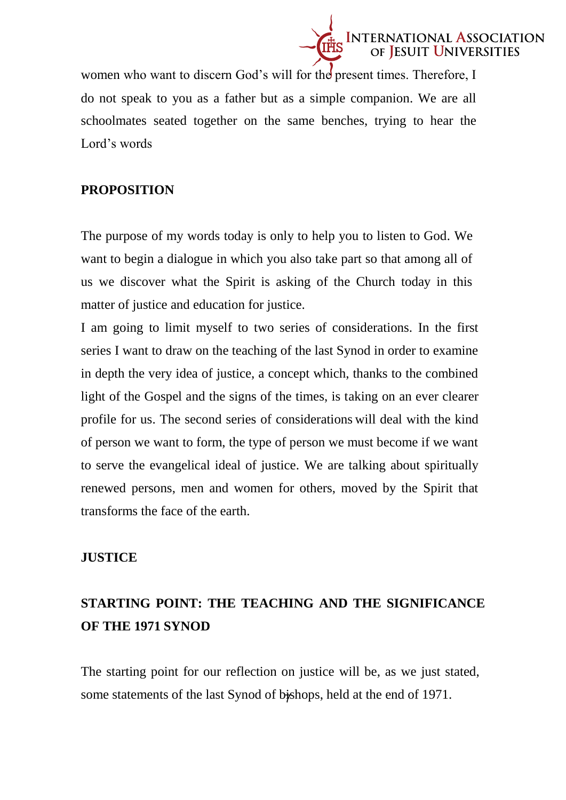women who want to discern God's will for the present times. Therefore, I do not speak to you as a father but as a simple companion. We are all schoolmates seated together on the same benches, trying to hear the Lord's words

### **PROPOSITION**

The purpose of my words today is only to help you to listen to God*.* We want to begin a dialogue in which you also take part so that among all of us we discover what the Spirit is asking of the Church today in this matter of justice and education for justice.

I am going to limit myself to two series of considerations. In the first series I want to draw on the teaching of the last Synod in order to examine in depth the very idea of justice, a concept which, thanks to the combined light of the Gospel and the signs of the times, is taking on an ever clearer profile for us. The second series of considerations will deal with the kind of person we want to form, the type of person we must become if we want to serve the evangelical ideal of justice. We are talking about spiritually renewed persons, men and women for others, moved by the Spirit that transforms the face of the earth.

### **JUSTICE**

## **STARTING POINT: THE TEACHING AND THE SIGNIFICANCE OF THE 1971 SYNOD**

some statements of the last Synod of bishops, held at the end of 1971. The starting point for our reflection on justice will be, as we just stated,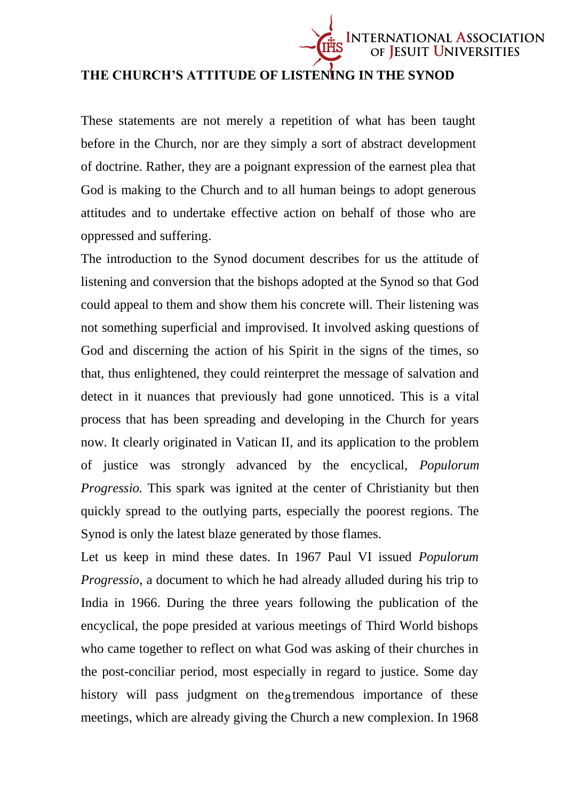### **THE CHURCH'S ATTITUDE OF LISTENING IN THE SYNOD**

**INTERNATIONAL ASSOCIATION**<br>OF JESUIT UNIVERSITIES

These statements are not merely a repetition of what has been taught before in the Church, nor are they simply a sort of abstract development of doctrine. Rather, they are a poignant expression of the earnest plea that God is making to the Church and to all human beings to adopt generous attitudes and to undertake effective action on behalf of those who are oppressed and suffering.

The introduction to the Synod document describes for us the attitude of listening and conversion that the bishops adopted at the Synod so that God could appeal to them and show them his concrete will. Their listening was not something superficial and improvised. It involved asking questions of God and discerning the action of his Spirit in the signs of the times, so that, thus enlightened, they could reinterpret the message of salvation and detect in it nuances that previously had gone unnoticed. This is a vital process that has been spreading and developing in the Church for years now. It clearly originated in Vatican II, and its application to the problem of justice was strongly advanced by the encyclical, *Populorum Progressio.* This spark was ignited at the center of Christianity but then quickly spread to the outlying parts, especially the poorest regions. The Synod is only the latest blaze generated by those flames.

history will pass judgment on the atremendous importance of these Let us keep in mind these dates. In 1967 Paul VI issued *Populorum Progressio*, a document to which he had already alluded during his trip to India in 1966. During the three years following the publication of the encyclical, the pope presided at various meetings of Third World bishops who came together to reflect on what God was asking of their churches in the post-conciliar period, most especially in regard to justice. Some day meetings, which are already giving the Church a new complexion. In 1968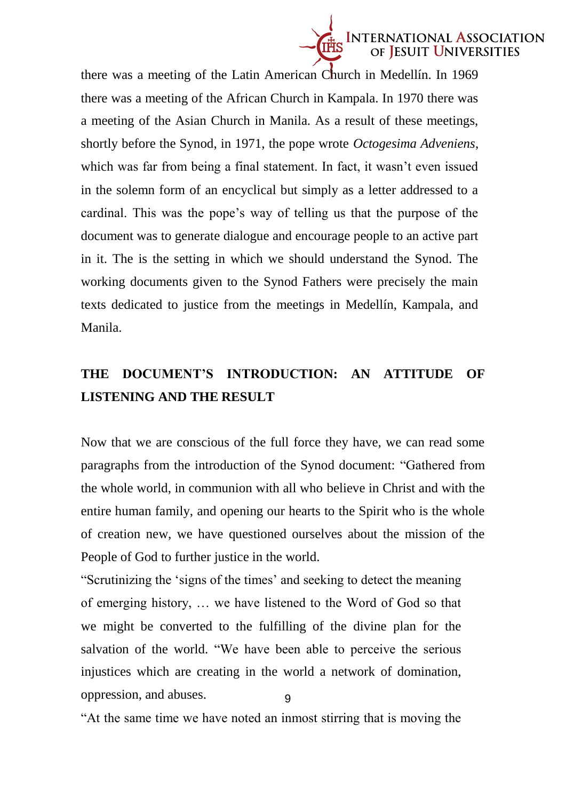there was a meeting of the Latin American Church in Medellín. In 1969 there was a meeting of the African Church in Kampala. In 1970 there was a meeting of the Asian Church in Manila. As a result of these meetings, shortly before the Synod, in 1971, the pope wrote *Octogesima Adveniens*, which was far from being a final statement. In fact, it wasn't even issued in the solemn form of an encyclical but simply as a letter addressed to a cardinal. This was the pope's way of telling us that the purpose of the document was to generate dialogue and encourage people to an active part in it. The is the setting in which we should understand the Synod. The working documents given to the Synod Fathers were precisely the main texts dedicated to justice from the meetings in Medellín, Kampala, and Manila.

## **THE DOCUMENT'S INTRODUCTION: AN ATTITUDE OF LISTENING AND THE RESULT**

Now that we are conscious of the full force they have, we can read some paragraphs from the introduction of the Synod document: "Gathered from the whole world, in communion with all who believe in Christ and with the entire human family, and opening our hearts to the Spirit who is the whole of creation new, we have questioned ourselves about the mission of the People of God to further justice in the world.

 $\mathsf{Q}$ "Scrutinizing the 'signs of the times' and seeking to detect the meaning of emerging history, … we have listened to the Word of God so that we might be converted to the fulfilling of the divine plan for the salvation of the world. "We have been able to perceive the serious injustices which are creating in the world a network of domination, oppression, and abuses.

"At the same time we have noted an inmost stirring that is moving the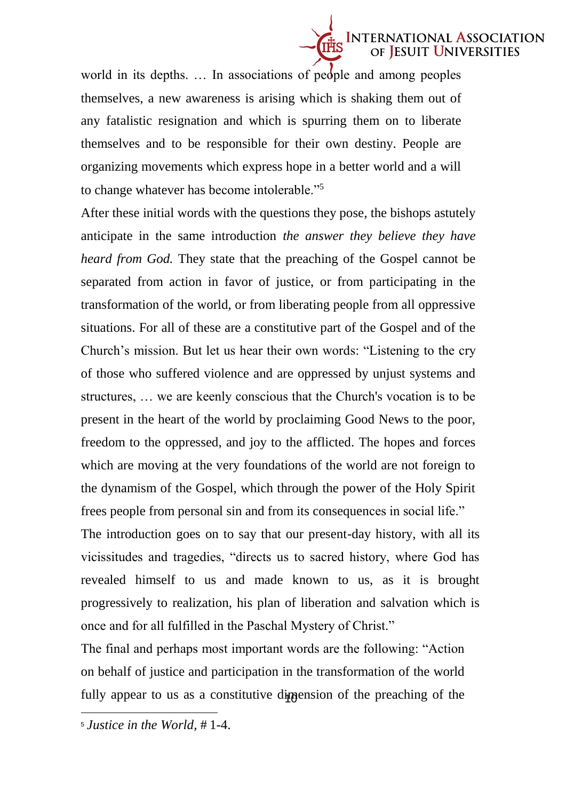world in its depths. ... In associations of people and among peoples themselves, a new awareness is arising which is shaking them out of any fatalistic resignation and which is spurring them on to liberate themselves and to be responsible for their own destiny. People are organizing movements which express hope in a better world and a will to change whatever has become intolerable."<sup>5</sup>

After these initial words with the questions they pose, the bishops astutely anticipate in the same introduction *the answer they believe they have heard from God.* They state that the preaching of the Gospel cannot be separated from action in favor of justice, or from participating in the transformation of the world, or from liberating people from all oppressive situations. For all of these are a constitutive part of the Gospel and of the Church's mission. But let us hear their own words: "Listening to the cry of those who suffered violence and are oppressed by unjust systems and structures, … we are keenly conscious that the Church's vocation is to be present in the heart of the world by proclaiming Good News to the poor, freedom to the oppressed, and joy to the afflicted. The hopes and forces which are moving at the very foundations of the world are not foreign to the dynamism of the Gospel, which through the power of the Holy Spirit frees people from personal sin and from its consequences in social life." The introduction goes on to say that our present-day history, with all its vicissitudes and tragedies, "directs us to sacred history, where God has revealed himself to us and made known to us, as it is brought

progressively to realization, his plan of liberation and salvation which is once and for all fulfilled in the Paschal Mystery of Christ."

fully appear to us as a constitutive dimension of the preaching of the The final and perhaps most important words are the following: "Action on behalf of justice and participation in the transformation of the world

<sup>5</sup> *Justice in the World,* # 1-4.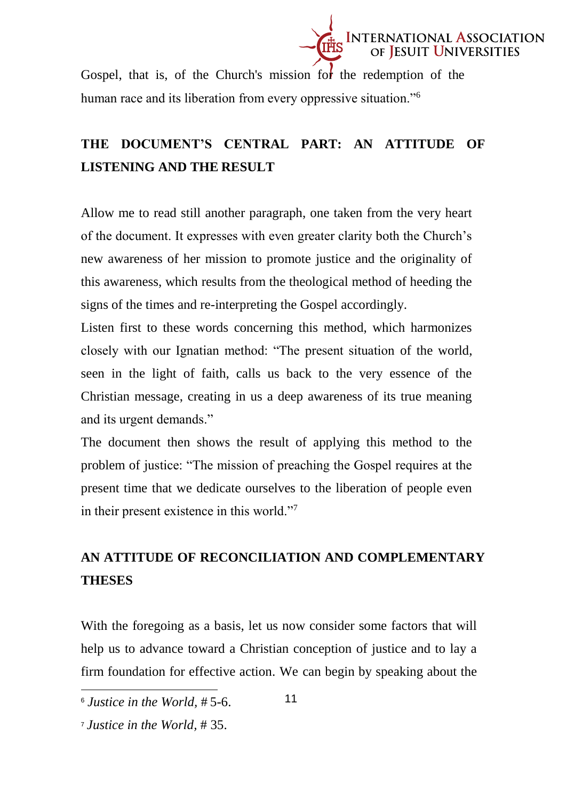Gospel, that is, of the Church's mission for the redemption of the human race and its liberation from every oppressive situation."<sup>6</sup>

**INTERNATIONAL ASSOCIATION**<br>OF **IESUIT UNIVERSITIES** 

## **THE DOCUMENT'S CENTRAL PART: AN ATTITUDE OF LISTENING AND THE RESULT**

Allow me to read still another paragraph, one taken from the very heart of the document. It expresses with even greater clarity both the Church's new awareness of her mission to promote justice and the originality of this awareness, which results from the theological method of heeding the signs of the times and re-interpreting the Gospel accordingly.

Listen first to these words concerning this method, which harmonizes closely with our Ignatian method: "The present situation of the world, seen in the light of faith, calls us back to the very essence of the Christian message, creating in us a deep awareness of its true meaning and its urgent demands."

The document then shows the result of applying this method to the problem of justice: "The mission of preaching the Gospel requires at the present time that we dedicate ourselves to the liberation of people even in their present existence in this world."<sup>7</sup>

## **AN ATTITUDE OF RECONCILIATION AND COMPLEMENTARY THESES**

With the foregoing as a basis, let us now consider some factors that will help us to advance toward a Christian conception of justice and to lay a firm foundation for effective action. We can begin by speaking about the

11

<sup>6</sup> *Justice in the World,* # 5-6.

<sup>7</sup> *Justice in the World,* # 35.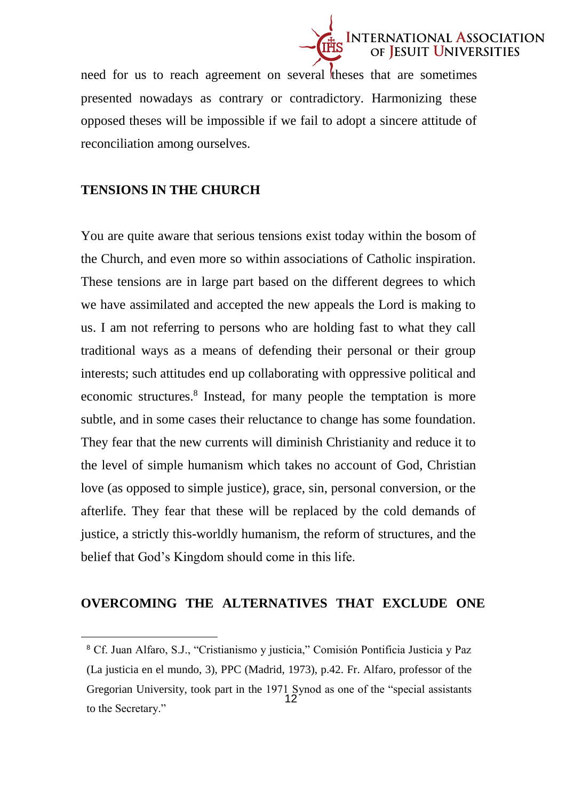need for us to reach agreement on several theses that are sometimes presented nowadays as contrary or contradictory. Harmonizing these opposed theses will be impossible if we fail to adopt a sincere attitude of reconciliation among ourselves.

**INTERNATIONAL ASSOCIATION<br>OF JESUIT UNIVERSITIES** 

#### **TENSIONS IN THE CHURCH**

-

You are quite aware that serious tensions exist today within the bosom of the Church, and even more so within associations of Catholic inspiration. These tensions are in large part based on the different degrees to which we have assimilated and accepted the new appeals the Lord is making to us. I am not referring to persons who are holding fast to what they call traditional ways as a means of defending their personal or their group interests; such attitudes end up collaborating with oppressive political and economic structures.<sup>8</sup> Instead, for many people the temptation is more subtle, and in some cases their reluctance to change has some foundation. They fear that the new currents will diminish Christianity and reduce it to the level of simple humanism which takes no account of God, Christian love (as opposed to simple justice), grace, sin, personal conversion, or the afterlife. They fear that these will be replaced by the cold demands of justice, a strictly this-worldly humanism, the reform of structures, and the belief that God's Kingdom should come in this life.

#### **OVERCOMING THE ALTERNATIVES THAT EXCLUDE ONE**

<sup>12</sup> <sup>8</sup> Cf. Juan Alfaro, S.J., "Cristianismo y justicia," Comisión Pontificia Justicia y Paz (La justicia en el mundo, 3), PPC (Madrid, 1973), p.42. Fr. Alfaro, professor of the Gregorian University, took part in the 1971 Synod as one of the "special assistants to the Secretary."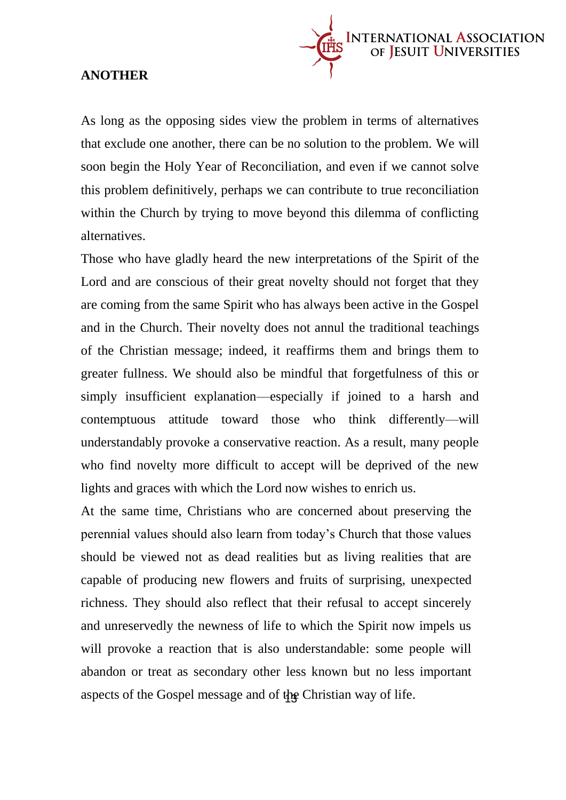#### **ANOTHER**

As long as the opposing sides view the problem in terms of alternatives that exclude one another, there can be no solution to the problem. We will soon begin the Holy Year of Reconciliation, and even if we cannot solve this problem definitively, perhaps we can contribute to true reconciliation within the Church by trying to move beyond this dilemma of conflicting alternatives.

**INTERNATIONAL ASSOCIATION**<br>OF JESUIT UNIVERSITIES

Those who have gladly heard the new interpretations of the Spirit of the Lord and are conscious of their great novelty should not forget that they are coming from the same Spirit who has always been active in the Gospel and in the Church. Their novelty does not annul the traditional teachings of the Christian message; indeed, it reaffirms them and brings them to greater fullness. We should also be mindful that forgetfulness of this or simply insufficient explanation—especially if joined to a harsh and contemptuous attitude toward those who think differently—will understandably provoke a conservative reaction. As a result, many people who find novelty more difficult to accept will be deprived of the new lights and graces with which the Lord now wishes to enrich us.

aspects of the Gospel message and of the Christian way of life. At the same time, Christians who are concerned about preserving the perennial values should also learn from today's Church that those values should be viewed not as dead realities but as living realities that are capable of producing new flowers and fruits of surprising, unexpected richness. They should also reflect that their refusal to accept sincerely and unreservedly the newness of life to which the Spirit now impels us will provoke a reaction that is also understandable: some people will abandon or treat as secondary other less known but no less important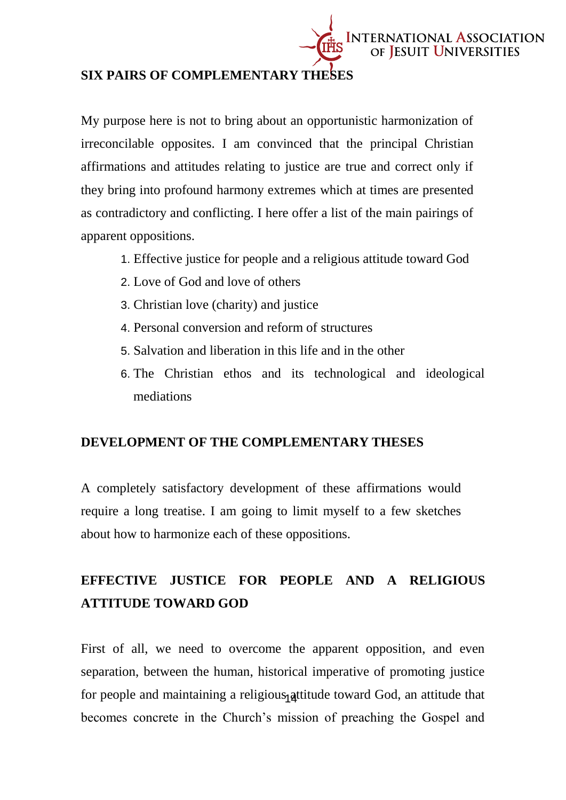### **SIX PAIRS OF COMPLEMENTARY THESES**

My purpose here is not to bring about an opportunistic harmonization of irreconcilable opposites. I am convinced that the principal Christian affirmations and attitudes relating to justice are true and correct only if they bring into profound harmony extremes which at times are presented as contradictory and conflicting. I here offer a list of the main pairings of apparent oppositions.

1. Effective justice for people and a religious attitude toward God

**INTERNATIONAL ASSOCIATION**<br>OF **JESUIT UNIVERSITIES** 

- 2. Love of God and love of others
- 3. Christian love (charity) and justice
- 4. Personal conversion and reform of structures
- 5. Salvation and liberation in this life and in the other
- 6. The Christian ethos and its technological and ideological mediations

#### **DEVELOPMENT OF THE COMPLEMENTARY THESES**

A completely satisfactory development of these affirmations would require a long treatise. I am going to limit myself to a few sketches about how to harmonize each of these oppositions.

## **EFFECTIVE JUSTICE FOR PEOPLE AND A RELIGIOUS ATTITUDE TOWARD GOD**

for people and maintaining a religious attitude toward God, an attitude that First of all, we need to overcome the apparent opposition, and even separation, between the human, historical imperative of promoting justice becomes concrete in the Church's mission of preaching the Gospel and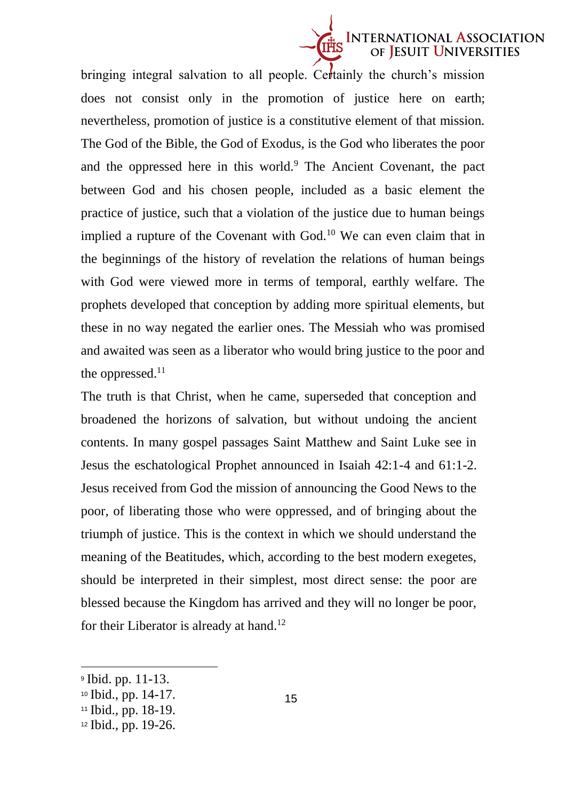bringing integral salvation to all people. Certainly the church's mission does not consist only in the promotion of justice here on earth; nevertheless, promotion of justice is a constitutive element of that mission. The God of the Bible, the God of Exodus, is the God who liberates the poor and the oppressed here in this world.<sup>9</sup> The Ancient Covenant, the pact between God and his chosen people, included as a basic element the practice of justice, such that a violation of the justice due to human beings implied a rupture of the Covenant with God.[10](#page-15-0) We can even claim that in the beginnings of the history of revelation the relations of human beings with God were viewed more in terms of temporal, earthly welfare. The prophets developed that conception by adding more spiritual elements, but these in no way negated the earlier ones. The Messiah who was promised and awaited was seen as a liberator who would bring justice to the poor and the oppressed.<sup>11</sup>

The truth is that Christ, when he came, superseded that conception and broadened the horizons of salvation, but without undoing the ancient contents. In many gospel passages Saint Matthew and Saint Luke see in Jesus the eschatological Prophet announced in Isaiah 42:1-4 and 61:1-2. Jesus received from God the mission of announcing the Good News to the poor, of liberating those who were oppressed, and of bringing about the triumph of justice. This is the context in which we should understand the meaning of the Beatitudes, which, according to the best modern exegetes, should be interpreted in their simplest, most direct sense: the poor are blessed because the Kingdom has arrived and they will no longer be poor, for their Liberator is already at hand.<sup>12</sup>

<sup>9</sup> Ibid. pp. 11-13.

<sup>10</sup> Ibid., pp. 14-17.

<sup>11</sup> Ibid., pp. 18-19.

<sup>12</sup> Ibid., pp. 19-26.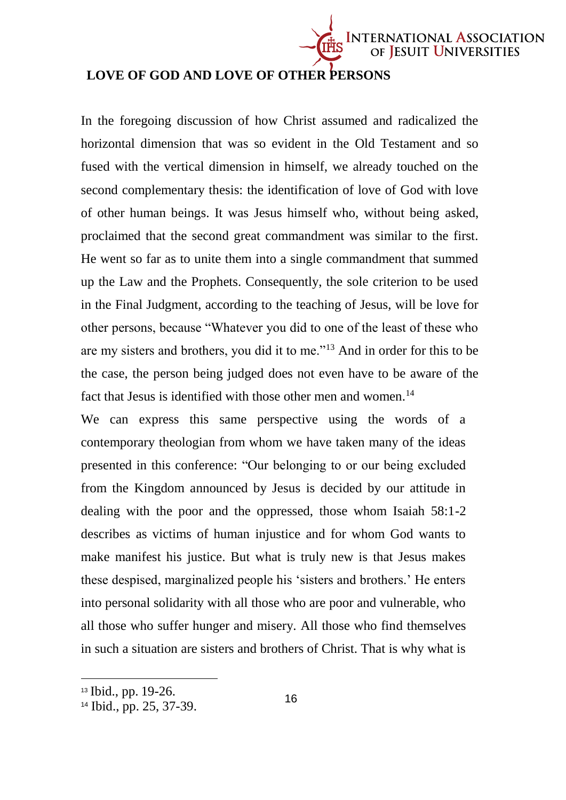### **LOVE OF GOD AND LOVE OF OTHER PERSONS**

In the foregoing discussion of how Christ assumed and radicalized the horizontal dimension that was so evident in the Old Testament and so fused with the vertical dimension in himself, we already touched on the second complementary thesis: the identification of love of God with love of other human beings. It was Jesus himself who, without being asked, proclaimed that the second great commandment was similar to the first. He went so far as to unite them into a single commandment that summed up the Law and the Prophets. Consequently, the sole criterion to be used in the Final Judgment, according to the teaching of Jesus, will be love for other persons, because "Whatever you did to one of the least of these who are my sisters and brothers, you did it to me."[13](#page-15-0) And in order for this to be the case, the person being judged does not even have to be aware of the fact that Jesus is identified with those other men and women.<sup>14</sup>

**INTERNATIONAL ASSOCIATION**<br>OF JESUIT UNIVERSITIES

<span id="page-15-0"></span>We can express this same perspective using the words of a contemporary theologian from whom we have taken many of the ideas presented in this conference: "Our belonging to or our being excluded from the Kingdom announced by Jesus is decided by our attitude in dealing with the poor and the oppressed, those whom Isaiah 58:1-2 describes as victims of human injustice and for whom God wants to make manifest his justice. But what is truly new is that Jesus makes these despised, marginalized people his 'sisters and brothers.' He enters into personal solidarity with all those who are poor and vulnerable, who all those who suffer hunger and misery. All those who find themselves in such a situation are sisters and brothers of Christ. That is why what is

<sup>13</sup> Ibid., pp. 19-26.

<sup>14</sup> Ibid., pp. 25, 37-39.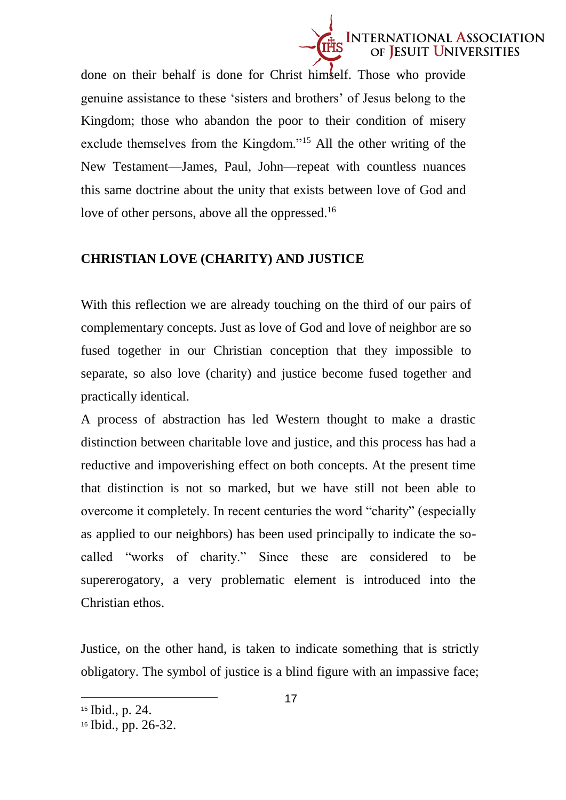done on their behalf is done for Christ himself. Those who provide genuine assistance to these 'sisters and brothers' of Jesus belong to the Kingdom; those who abandon the poor to their condition of misery exclude themselves from the Kingdom."<sup>15</sup> All the other writing of the New Testament—James, Paul, John—repeat with countless nuances this same doctrine about the unity that exists between love of God and love of other persons, above all the oppressed.<sup>16</sup>

### **CHRISTIAN LOVE (CHARITY) AND JUSTICE**

With this reflection we are already touching on the third of our pairs of complementary concepts. Just as love of God and love of neighbor are so fused together in our Christian conception that they impossible to separate, so also love (charity) and justice become fused together and practically identical.

A process of abstraction has led Western thought to make a drastic distinction between charitable love and justice, and this process has had a reductive and impoverishing effect on both concepts. At the present time that distinction is not so marked, but we have still not been able to overcome it completely. In recent centuries the word "charity" (especially as applied to our neighbors) has been used principally to indicate the socalled "works of charity." Since these are considered to be supererogatory, a very problematic element is introduced into the Christian ethos.

Justice, on the other hand, is taken to indicate something that is strictly obligatory. The symbol of justice is a blind figure with an impassive face;

1

<sup>15</sup> Ibid., p. 24.

<sup>16</sup> Ibid., pp. 26-32.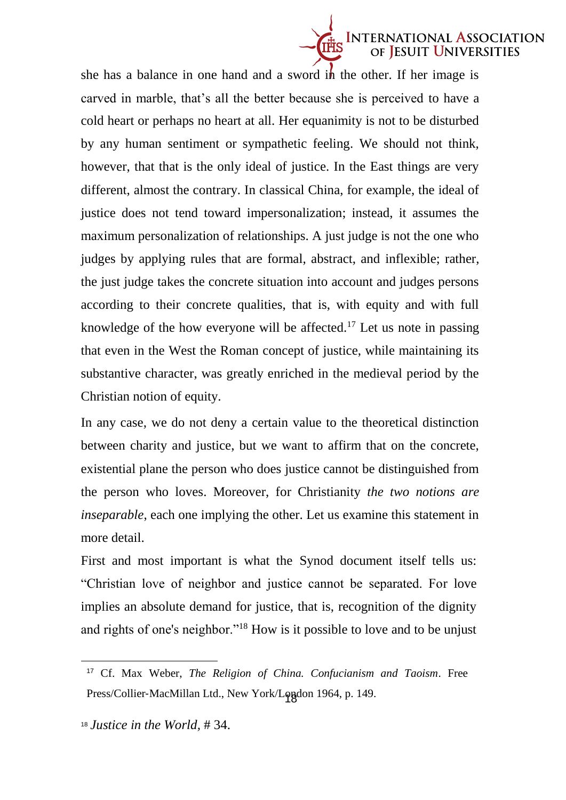she has a balance in one hand and a sword in the other. If her image is carved in marble, that's all the better because she is perceived to have a cold heart or perhaps no heart at all. Her equanimity is not to be disturbed by any human sentiment or sympathetic feeling. We should not think, however, that that is the only ideal of justice. In the East things are very different, almost the contrary. In classical China, for example, the ideal of justice does not tend toward impersonalization; instead, it assumes the maximum personalization of relationships. A just judge is not the one who judges by applying rules that are formal, abstract, and inflexible; rather, the just judge takes the concrete situation into account and judges persons according to their concrete qualities, that is, with equity and with full knowledge of the how everyone will be affected.<sup>17</sup> Let us note in passing that even in the West the Roman concept of justice, while maintaining its substantive character, was greatly enriched in the medieval period by the Christian notion of equity.

In any case, we do not deny a certain value to the theoretical distinction between charity and justice, but we want to affirm that on the concrete, existential plane the person who does justice cannot be distinguished from the person who loves. Moreover, for Christianity *the two notions are inseparable*, each one implying the other. Let us examine this statement in more detail.

First and most important is what the Synod document itself tells us: "Christian love of neighbor and justice cannot be separated. For love implies an absolute demand for justice, that is, recognition of the dignity and rights of one's neighbor."<sup>18</sup> How is it possible to love and to be unjust

Press/Collier-MacMillan Ltd., New York/London 1964, p. 149. <sup>17</sup> Cf. Max Weber, *The Religion of China. Confucianism and Taoism*. Free

<sup>18</sup> *Justice in the World,* # 34.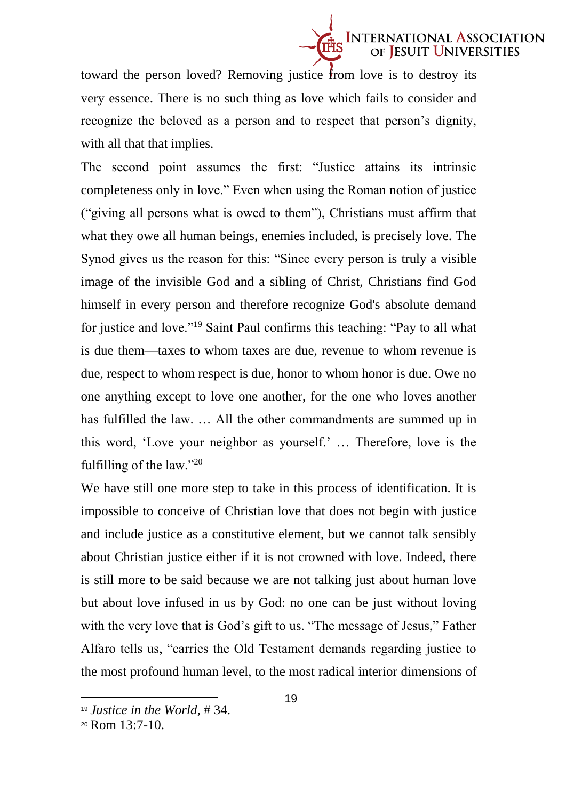toward the person loved? Removing justice from love is to destroy its very essence. There is no such thing as love which fails to consider and recognize the beloved as a person and to respect that person's dignity, with all that that implies.

**INTERNATIONAL ASSOCIATION**<br>OF JESUIT UNIVERSITIES

The second point assumes the first: "Justice attains its intrinsic completeness only in love." Even when using the Roman notion of justice ("giving all persons what is owed to them"), Christians must affirm that what they owe all human beings, enemies included, is precisely love. The Synod gives us the reason for this: "Since every person is truly a visible image of the invisible God and a sibling of Christ, Christians find God himself in every person and therefore recognize God's absolute demand for justice and love."<sup>19</sup> Saint Paul confirms this teaching: "Pay to all what is due them—taxes to whom taxes are due, revenue to whom revenue is due, respect to whom respect is due, honor to whom honor is due. Owe no one anything except to love one another, for the one who loves another has fulfilled the law. … All the other commandments are summed up in this word, 'Love your neighbor as yourself.' … Therefore, love is the fulfilling of the law." $20$ 

We have still one more step to take in this process of identification. It is impossible to conceive of Christian love that does not begin with justice and include justice as a constitutive element, but we cannot talk sensibly about Christian justice either if it is not crowned with love. Indeed, there is still more to be said because we are not talking just about human love but about love infused in us by God: no one can be just without loving with the very love that is God's gift to us. "The message of Jesus," Father Alfaro tells us, "carries the Old Testament demands regarding justice to the most profound human level, to the most radical interior dimensions of

1

<sup>19</sup> *Justice in the World,* # 34.

<sup>20</sup> Rom 13:7-10.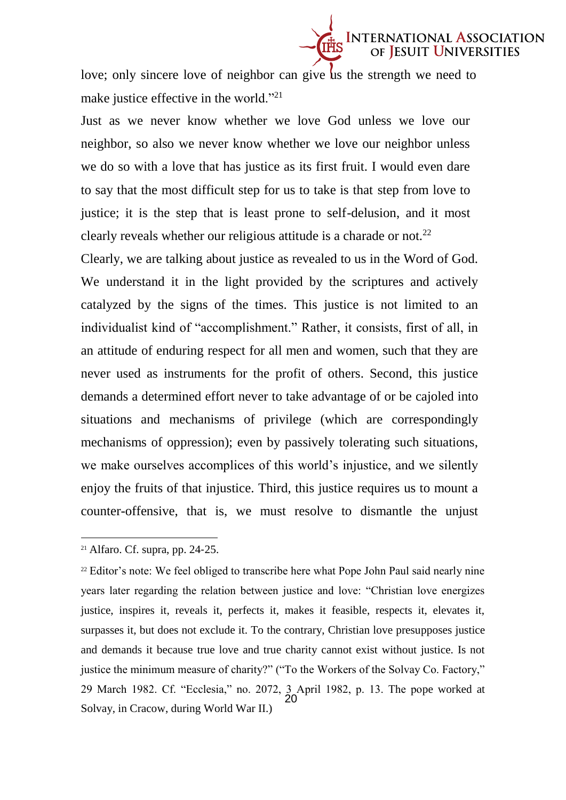love; only sincere love of neighbor can give us the strength we need to make justice effective in the world."<sup>21</sup>

**INTERNATIONAL ASSOCIATION**<br>OF JESUIT UNIVERSITIES

Just as we never know whether we love God unless we love our neighbor, so also we never know whether we love our neighbor unless we do so with a love that has justice as its first fruit. I would even dare to say that the most difficult step for us to take is that step from love to justice; it is the step that is least prone to self-delusion, and it most clearly reveals whether our religious attitude is a charade or not.<sup>22</sup>

Clearly, we are talking about justice as revealed to us in the Word of God. We understand it in the light provided by the scriptures and actively catalyzed by the signs of the times. This justice is not limited to an individualist kind of "accomplishment." Rather, it consists, first of all, in an attitude of enduring respect for all men and women, such that they are never used as instruments for the profit of others. Second, this justice demands a determined effort never to take advantage of or be cajoled into situations and mechanisms of privilege (which are correspondingly mechanisms of oppression); even by passively tolerating such situations, we make ourselves accomplices of this world's injustice, and we silently enjoy the fruits of that injustice. Third, this justice requires us to mount a counter-offensive, that is, we must resolve to dismantle the unjust

<sup>21</sup> Alfaro. Cf. supra, pp. 24‐25.

<sup>20</sup> <sup>22</sup> Editor's note: We feel obliged to transcribe here what Pope John Paul said nearly nine years later regarding the relation between justice and love: "Christian love energizes justice, inspires it, reveals it, perfects it, makes it feasible, respects it, elevates it, surpasses it, but does not exclude it. To the contrary, Christian love presupposes justice and demands it because true love and true charity cannot exist without justice. Is not justice the minimum measure of charity?" ("To the Workers of the Solvay Co. Factory," 29 March 1982. Cf. "Ecclesia," no. 2072, 3 April 1982, p. 13. The pope worked at Solvay, in Cracow, during World War II.)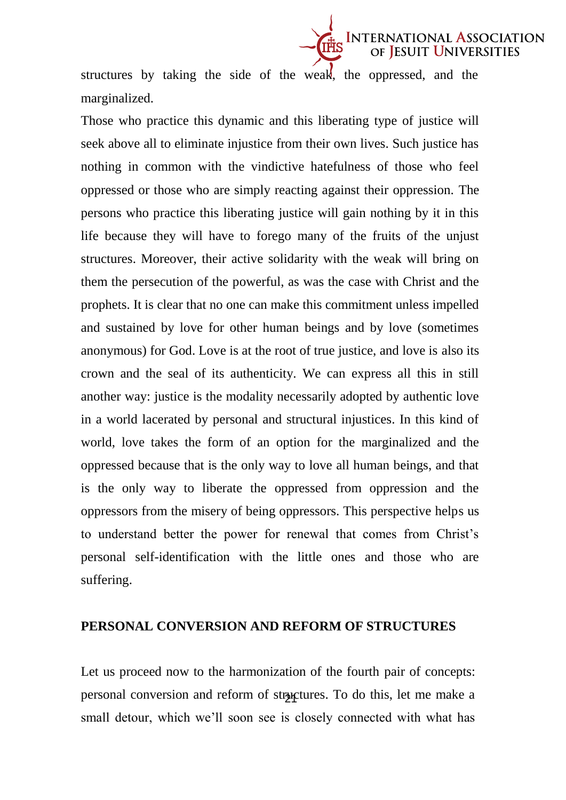structures by taking the side of the weak, the oppressed, and the marginalized.

**INTERNATIONAL ASSOCIATION**<br>OF JESUIT UNIVERSITIES

Those who practice this dynamic and this liberating type of justice will seek above all to eliminate injustice from their own lives. Such justice has nothing in common with the vindictive hatefulness of those who feel oppressed or those who are simply reacting against their oppression. The persons who practice this liberating justice will gain nothing by it in this life because they will have to forego many of the fruits of the unjust structures. Moreover, their active solidarity with the weak will bring on them the persecution of the powerful, as was the case with Christ and the prophets. It is clear that no one can make this commitment unless impelled and sustained by love for other human beings and by love (sometimes anonymous) for God. Love is at the root of true justice, and love is also its crown and the seal of its authenticity. We can express all this in still another way: justice is the modality necessarily adopted by authentic love in a world lacerated by personal and structural injustices. In this kind of world, love takes the form of an option for the marginalized and the oppressed because that is the only way to love all human beings, and that is the only way to liberate the oppressed from oppression and the oppressors from the misery of being oppressors. This perspective helps us to understand better the power for renewal that comes from Christ's personal self-identification with the little ones and those who are suffering.

#### **PERSONAL CONVERSION AND REFORM OF STRUCTURES**

personal conversion and reform of strapptures. To do this, let me make a Let us proceed now to the harmonization of the fourth pair of concepts: small detour, which we'll soon see is closely connected with what has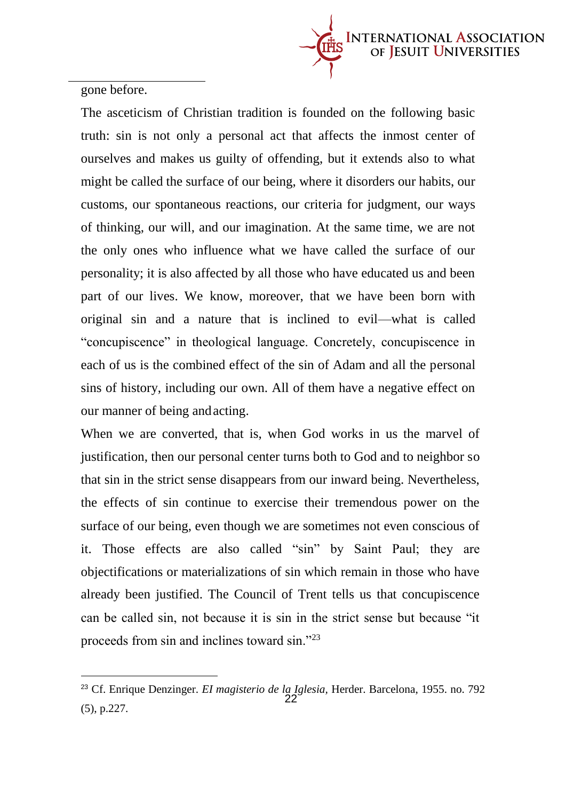gone before.

-

The asceticism of Christian tradition is founded on the following basic truth: sin is not only a personal act that affects the inmost center of ourselves and makes us guilty of offending, but it extends also to what might be called the surface of our being, where it disorders our habits, our customs, our spontaneous reactions, our criteria for judgment, our ways of thinking, our will, and our imagination. At the same time, we are not the only ones who influence what we have called the surface of our personality; it is also affected by all those who have educated us and been part of our lives. We know, moreover, that we have been born with original sin and a nature that is inclined to evil—what is called "concupiscence" in theological language. Concretely, concupiscence in each of us is the combined effect of the sin of Adam and all the personal sins of history, including our own. All of them have a negative effect on our manner of being andacting.

**INTERNATIONAL ASSOCIATION**<br>OF JESUIT UNIVERSITIES

When we are converted, that is, when God works in us the marvel of justification, then our personal center turns both to God and to neighbor so that sin in the strict sense disappears from our inward being. Nevertheless, the effects of sin continue to exercise their tremendous power on the surface of our being, even though we are sometimes not even conscious of it. Those effects are also called "sin" by Saint Paul; they are objectifications or materializations of sin which remain in those who have already been justified. The Council of Trent tells us that concupiscence can be called sin, not because it is sin in the strict sense but because "it proceeds from sin and inclines toward sin."<sup>23</sup>

<sup>22</sup> <sup>23</sup> Cf. Enrique Denzinger. *EI magisterio de la Iglesia,* Herder. Barcelona, 1955. no. 792 (5), p.227.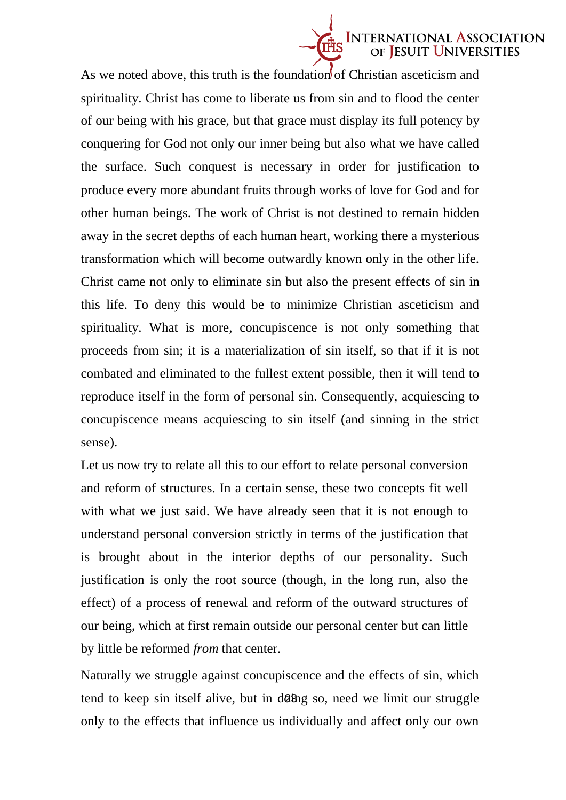As we noted above, this truth is the foundation of Christian asceticism and spirituality. Christ has come to liberate us from sin and to flood the center of our being with his grace, but that grace must display its full potency by conquering for God not only our inner being but also what we have called the surface. Such conquest is necessary in order for justification to produce every more abundant fruits through works of love for God and for other human beings. The work of Christ is not destined to remain hidden away in the secret depths of each human heart, working there a mysterious transformation which will become outwardly known only in the other life. Christ came not only to eliminate sin but also the present effects of sin in this life. To deny this would be to minimize Christian asceticism and spirituality. What is more, concupiscence is not only something that proceeds from sin; it is a materialization of sin itself, so that if it is not combated and eliminated to the fullest extent possible, then it will tend to reproduce itself in the form of personal sin. Consequently, acquiescing to concupiscence means acquiescing to sin itself (and sinning in the strict sense).

Let us now try to relate all this to our effort to relate personal conversion and reform of structures. In a certain sense, these two concepts fit well with what we just said. We have already seen that it is not enough to understand personal conversion strictly in terms of the justification that is brought about in the interior depths of our personality. Such justification is only the root source (though, in the long run, also the effect) of a process of renewal and reform of the outward structures of our being, which at first remain outside our personal center but can little by little be reformed *from* that center.

tend to keep sin itself alive, but in dømag so, need we limit our struggle Naturally we struggle against concupiscence and the effects of sin, which only to the effects that influence us individually and affect only our own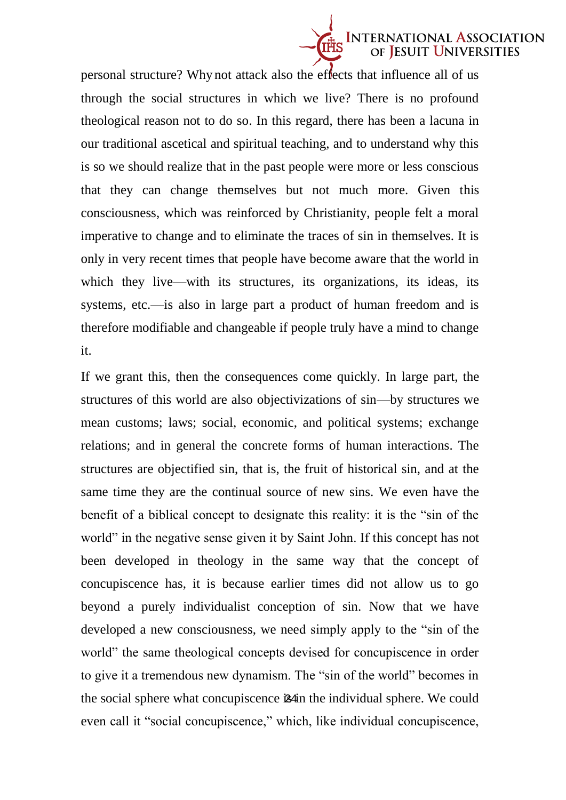personal structure? Why not attack also the effects that influence all of us through the social structures in which we live? There is no profound theological reason not to do so. In this regard, there has been a lacuna in our traditional ascetical and spiritual teaching, and to understand why this is so we should realize that in the past people were more or less conscious that they can change themselves but not much more. Given this consciousness, which was reinforced by Christianity, people felt a moral imperative to change and to eliminate the traces of sin in themselves. It is only in very recent times that people have become aware that the world in which they live—with its structures, its organizations, its ideas, its systems, etc.—is also in large part a product of human freedom and is therefore modifiable and changeable if people truly have a mind to change it.

the social sphere what concupiscence is in the individual sphere. We could If we grant this, then the consequences come quickly. In large part, the structures of this world are also objectivizations of sin—by structures we mean customs; laws; social, economic, and political systems; exchange relations; and in general the concrete forms of human interactions. The structures are objectified sin, that is, the fruit of historical sin, and at the same time they are the continual source of new sins. We even have the benefit of a biblical concept to designate this reality: it is the "sin of the world" in the negative sense given it by Saint John. If this concept has not been developed in theology in the same way that the concept of concupiscence has, it is because earlier times did not allow us to go beyond a purely individualist conception of sin. Now that we have developed a new consciousness, we need simply apply to the "sin of the world" the same theological concepts devised for concupiscence in order to give it a tremendous new dynamism. The "sin of the world" becomes in even call it "social concupiscence," which, like individual concupiscence,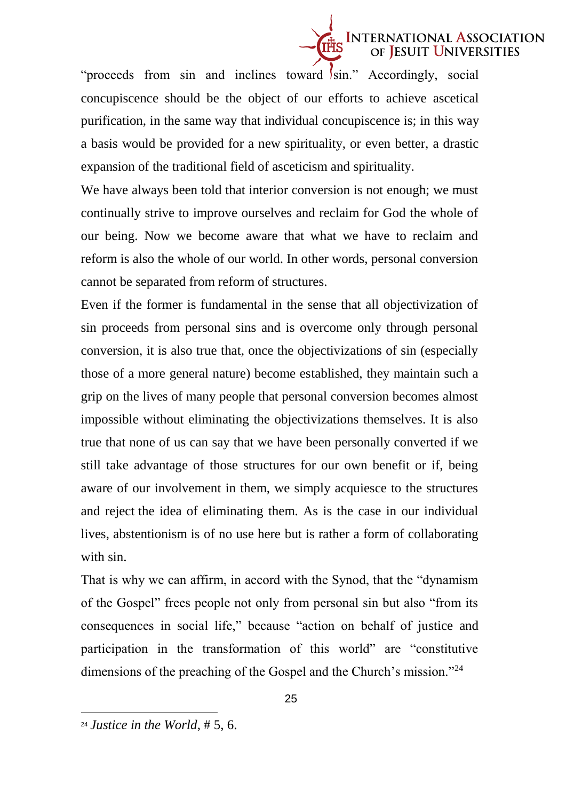"proceeds from sin and inclines toward  $\sin$ ." Accordingly, social concupiscence should be the object of our efforts to achieve ascetical purification, in the same way that individual concupiscence is; in this way a basis would be provided for a new spirituality, or even better, a drastic expansion of the traditional field of asceticism and spirituality.

We have always been told that interior conversion is not enough; we must continually strive to improve ourselves and reclaim for God the whole of our being. Now we become aware that what we have to reclaim and reform is also the whole of our world. In other words, personal conversion cannot be separated from reform of structures.

Even if the former is fundamental in the sense that all objectivization of sin proceeds from personal sins and is overcome only through personal conversion, it is also true that, once the objectivizations of sin (especially those of a more general nature) become established, they maintain such a grip on the lives of many people that personal conversion becomes almost impossible without eliminating the objectivizations themselves. It is also true that none of us can say that we have been personally converted if we still take advantage of those structures for our own benefit or if, being aware of our involvement in them, we simply acquiesce to the structures and reject the idea of eliminating them. As is the case in our individual lives, abstentionism is of no use here but is rather a form of collaborating with sin.

That is why we can affirm, in accord with the Synod, that the "dynamism of the Gospel" frees people not only from personal sin but also "from its consequences in social life," because "action on behalf of justice and participation in the transformation of this world" are "constitutive dimensions of the preaching of the Gospel and the Church's mission."<sup>24</sup>

<sup>24</sup> *Justice in the World*, # 5, 6.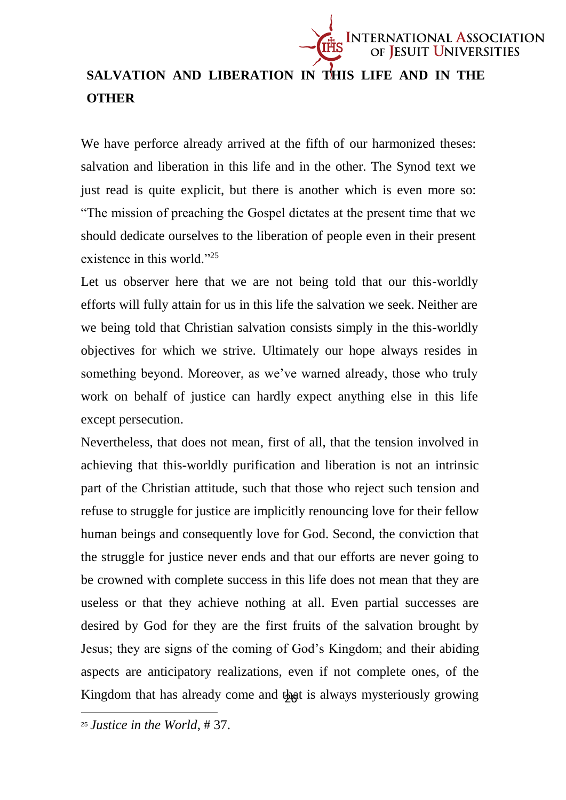## **INTERNATIONAL ASSOCIATION**<br>OF **JESUIT UNIVERSITIES SALVATION AND LIBERATION IN THIS LIFE AND IN THE OTHER**

We have perforce already arrived at the fifth of our harmonized theses: salvation and liberation in this life and in the other. The Synod text we just read is quite explicit, but there is another which is even more so: "The mission of preaching the Gospel dictates at the present time that we should dedicate ourselves to the liberation of people even in their present existence in this world."<sup>25</sup>

Let us observer here that we are not being told that our this-worldly efforts will fully attain for us in this life the salvation we seek. Neither are we being told that Christian salvation consists simply in the this-worldly objectives for which we strive. Ultimately our hope always resides in something beyond. Moreover, as we've warned already, those who truly work on behalf of justice can hardly expect anything else in this life except persecution.

Kingdom that has already come and that is always mysteriously growing Nevertheless, that does not mean, first of all, that the tension involved in achieving that this-worldly purification and liberation is not an intrinsic part of the Christian attitude, such that those who reject such tension and refuse to struggle for justice are implicitly renouncing love for their fellow human beings and consequently love for God. Second, the conviction that the struggle for justice never ends and that our efforts are never going to be crowned with complete success in this life does not mean that they are useless or that they achieve nothing at all. Even partial successes are desired by God for they are the first fruits of the salvation brought by Jesus; they are signs of the coming of God's Kingdom; and their abiding aspects are anticipatory realizations, even if not complete ones, of the

<sup>25</sup> *Justice in the World*, # 37.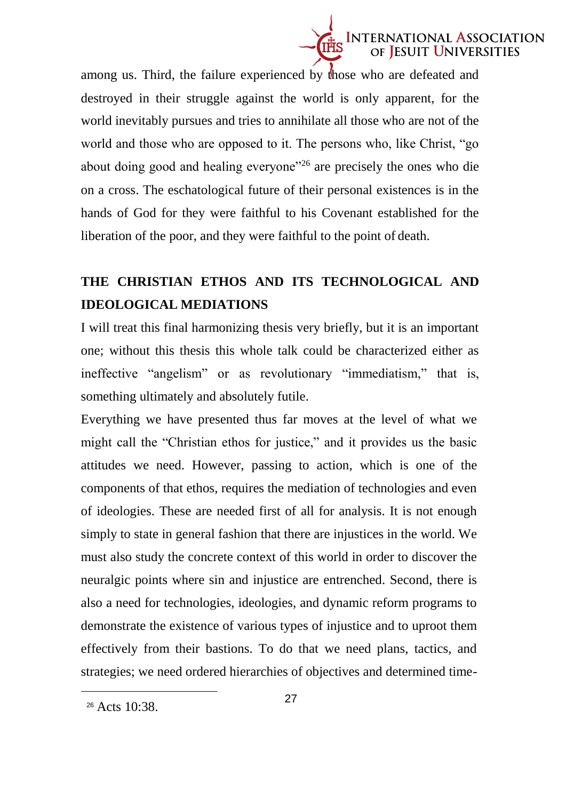among us. Third, the failure experienced by those who are defeated and destroyed in their struggle against the world is only apparent, for the world inevitably pursues and tries to annihilate all those who are not of the world and those who are opposed to it. The persons who, like Christ, "go about doing good and healing everyone<sup>"26</sup> are precisely the ones who die on a cross. The eschatological future of their personal existences is in the hands of God for they were faithful to his Covenant established for the liberation of the poor, and they were faithful to the point of death.

## **THE CHRISTIAN ETHOS AND ITS TECHNOLOGICAL AND IDEOLOGICAL MEDIATIONS**

I will treat this final harmonizing thesis very briefly, but it is an important one; without this thesis this whole talk could be characterized either as ineffective "angelism" or as revolutionary "immediatism," that is, something ultimately and absolutely futile.

Everything we have presented thus far moves at the level of what we might call the "Christian ethos for justice," and it provides us the basic attitudes we need. However, passing to action, which is one of the components of that ethos, requires the mediation of technologies and even of ideologies. These are needed first of all for analysis. It is not enough simply to state in general fashion that there are injustices in the world. We must also study the concrete context of this world in order to discover the neuralgic points where sin and injustice are entrenched. Second, there is also a need for technologies, ideologies, and dynamic reform programs to demonstrate the existence of various types of injustice and to uproot them effectively from their bastions. To do that we need plans, tactics, and strategies; we need ordered hierarchies of objectives and determined time-

<sup>26</sup> Acts 10:38.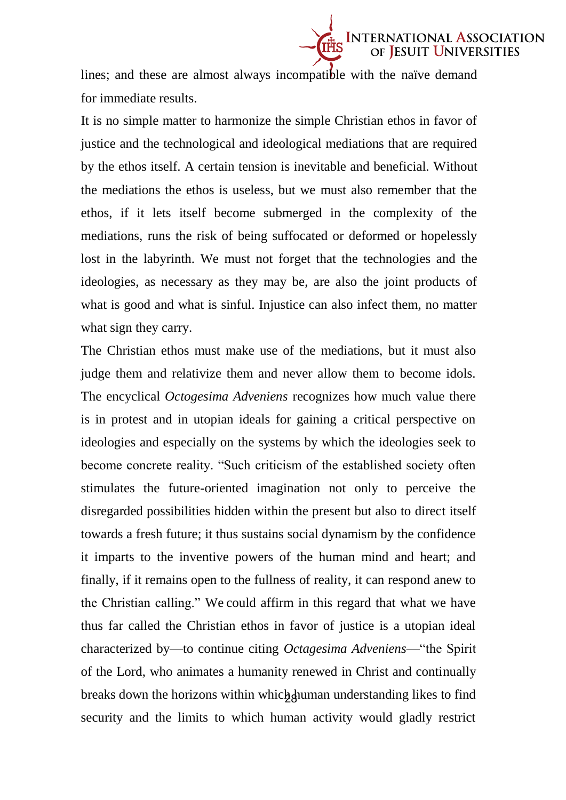lines; and these are almost always incompatible with the naïve demand for immediate results.

**INTERNATIONAL ASSOCIATION**<br>OF **JESUIT UNIVERSITIES** 

It is no simple matter to harmonize the simple Christian ethos in favor of justice and the technological and ideological mediations that are required by the ethos itself. A certain tension is inevitable and beneficial. Without the mediations the ethos is useless, but we must also remember that the ethos, if it lets itself become submerged in the complexity of the mediations, runs the risk of being suffocated or deformed or hopelessly lost in the labyrinth. We must not forget that the technologies and the ideologies, as necessary as they may be, are also the joint products of what is good and what is sinful. Injustice can also infect them, no matter what sign they carry.

breaks down the horizons within which human understanding likes to find The Christian ethos must make use of the mediations, but it must also judge them and relativize them and never allow them to become idols. The encyclical *Octogesima Adveniens* recognizes how much value there is in protest and in utopian ideals for gaining a critical perspective on ideologies and especially on the systems by which the ideologies seek to become concrete reality. "Such criticism of the established society often stimulates the future-oriented imagination not only to perceive the disregarded possibilities hidden within the present but also to direct itself towards a fresh future; it thus sustains social dynamism by the confidence it imparts to the inventive powers of the human mind and heart; and finally, if it remains open to the fullness of reality, it can respond anew to the Christian calling." We could affirm in this regard that what we have thus far called the Christian ethos in favor of justice is a utopian ideal characterized by—to continue citing *Octagesima Adveniens*—"the Spirit of the Lord, who animates a humanity renewed in Christ and continually security and the limits to which human activity would gladly restrict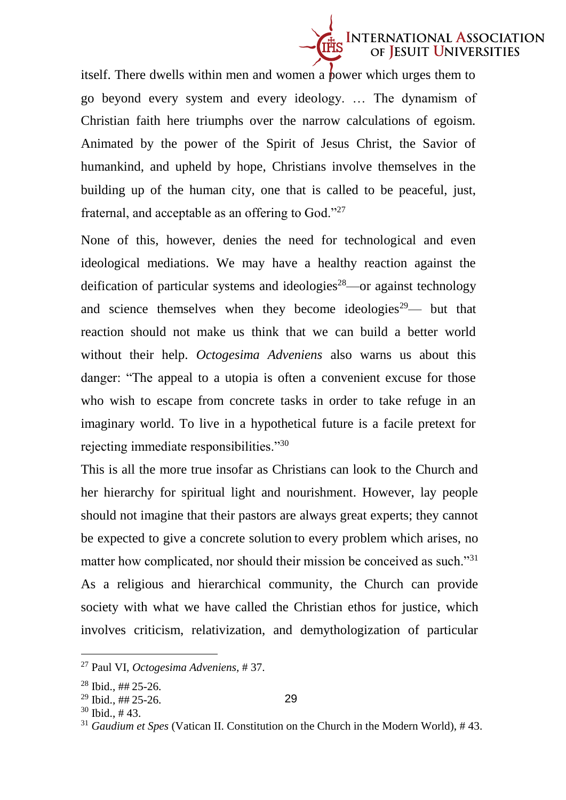itself. There dwells within men and women a power which urges them to go beyond every system and every ideology. … The dynamism of Christian faith here triumphs over the narrow calculations of egoism. Animated by the power of the Spirit of Jesus Christ, the Savior of humankind, and upheld by hope, Christians involve themselves in the building up of the human city, one that is called to be peaceful, just, fraternal, and acceptable as an offering to God."<sup>27</sup>

None of this, however, denies the need for technological and even ideological mediations. We may have a healthy reaction against the deification of particular systems and ideologies<sup>28</sup>—or against technology and science themselves when they become ideologies<sup>29</sup>— but that reaction should not make us think that we can build a better world without their help. *Octogesima Adveniens* also warns us about this danger: "The appeal to a utopia is often a convenient excuse for those who wish to escape from concrete tasks in order to take refuge in an imaginary world. To live in a hypothetical future is a facile pretext for rejecting immediate responsibilities."<sup>30</sup>

This is all the more true insofar as Christians can look to the Church and her hierarchy for spiritual light and nourishment. However, lay people should not imagine that their pastors are always great experts; they cannot be expected to give a concrete solution to every problem which arises, no matter how complicated, nor should their mission be conceived as such."<sup>31</sup> As a religious and hierarchical community, the Church can provide society with what we have called the Christian ethos for justice, which involves criticism, relativization, and demythologization of particular

1

<sup>27</sup> Paul VI, *Octogesima Adveniens,* # 37.

 $28$  Ibid., ## 25-26.  $29$  Ibid., ## 25-26.

<sup>29</sup>

 $30$  Ibid., #43.

<sup>31</sup> *Gaudium et Spes* (Vatican II. Constitution on the Church in the Modern World), # 43.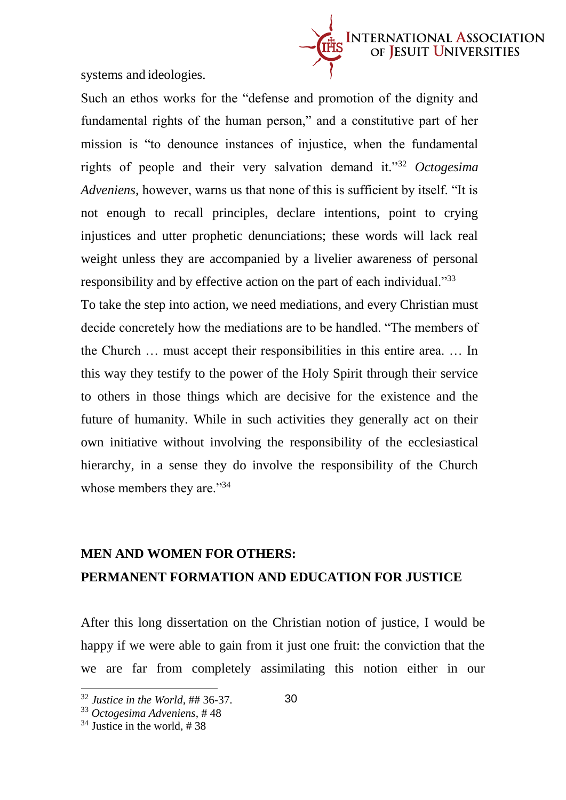systems and ideologies.

Such an ethos works for the "defense and promotion of the dignity and fundamental rights of the human person," and a constitutive part of her mission is "to denounce instances of injustice, when the fundamental rights of people and their very salvation demand it."<sup>32</sup> *Octogesima Adveniens,* however, warns us that none of this is sufficient by itself. "It is not enough to recall principles, declare intentions, point to crying injustices and utter prophetic denunciations; these words will lack real weight unless they are accompanied by a livelier awareness of personal responsibility and by effective action on the part of each individual."<sup>33</sup>

**INTERNATIONAL ASSOCIATION**<br>OF JESUIT UNIVERSITIES

To take the step into action, we need mediations, and every Christian must decide concretely how the mediations are to be handled. "The members of the Church … must accept their responsibilities in this entire area. … In this way they testify to the power of the Holy Spirit through their service to others in those things which are decisive for the existence and the future of humanity. While in such activities they generally act on their own initiative without involving the responsibility of the ecclesiastical hierarchy, in a sense they do involve the responsibility of the Church whose members they are."<sup>34</sup>

### **MEN AND WOMEN FOR OTHERS: PERMANENT FORMATION AND EDUCATION FOR JUSTICE**

After this long dissertation on the Christian notion of justice, I would be happy if we were able to gain from it just one fruit: the conviction that the we are far from completely assimilating this notion either in our

30

1

<sup>32</sup> *Justice in the World,* ## 36-37.

<sup>33</sup> *Octogesima Adveniens*, # 48

 $34$  Justice in the world, #38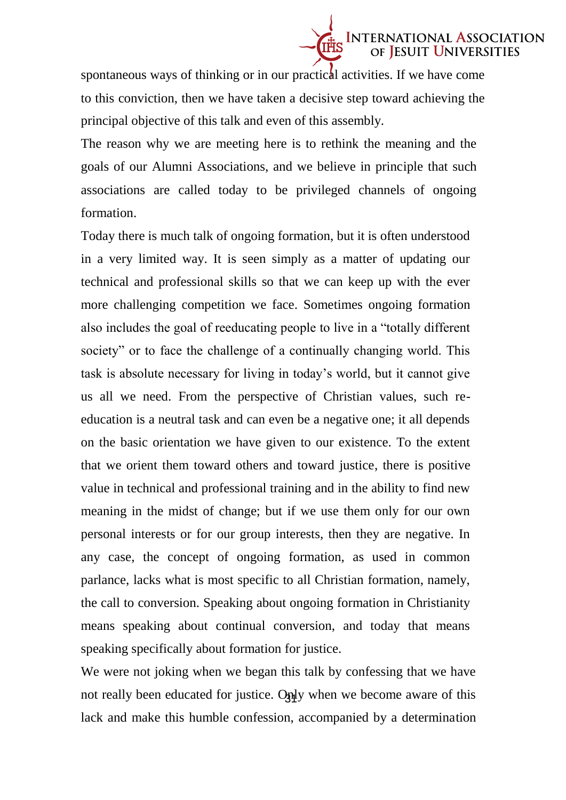spontaneous ways of thinking or in our practical activities. If we have come to this conviction, then we have taken a decisive step toward achieving the principal objective of this talk and even of this assembly.

The reason why we are meeting here is to rethink the meaning and the goals of our Alumni Associations, and we believe in principle that such associations are called today to be privileged channels of ongoing formation.

Today there is much talk of ongoing formation, but it is often understood in a very limited way. It is seen simply as a matter of updating our technical and professional skills so that we can keep up with the ever more challenging competition we face. Sometimes ongoing formation also includes the goal of reeducating people to live in a "totally different society" or to face the challenge of a continually changing world. This task is absolute necessary for living in today's world, but it cannot give us all we need. From the perspective of Christian values, such reeducation is a neutral task and can even be a negative one; it all depends on the basic orientation we have given to our existence. To the extent that we orient them toward others and toward justice, there is positive value in technical and professional training and in the ability to find new meaning in the midst of change; but if we use them only for our own personal interests or for our group interests, then they are negative. In any case, the concept of ongoing formation, as used in common parlance, lacks what is most specific to all Christian formation, namely, the call to conversion. Speaking about ongoing formation in Christianity means speaking about continual conversion, and today that means speaking specifically about formation for justice.

not really been educated for justice. Only when we become aware of this We were not joking when we began this talk by confessing that we have lack and make this humble confession, accompanied by a determination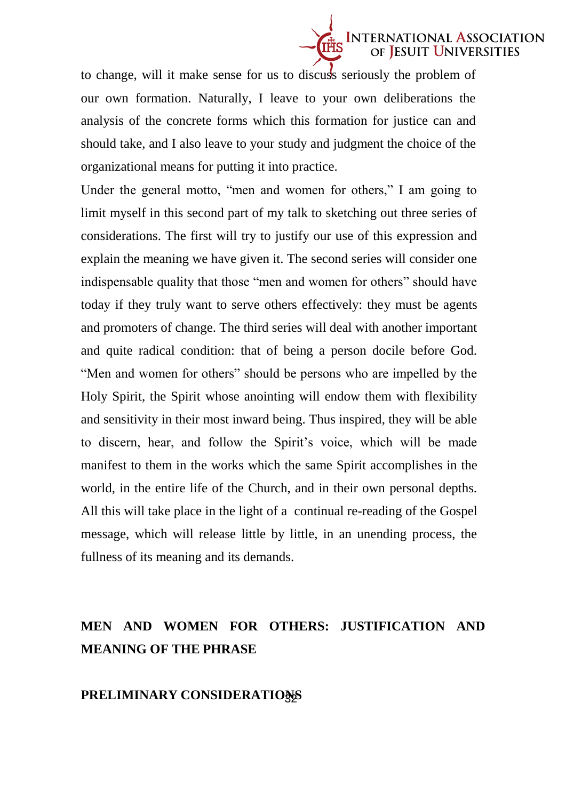to change, will it make sense for us to discuss seriously the problem of our own formation. Naturally, I leave to your own deliberations the analysis of the concrete forms which this formation for justice can and should take, and I also leave to your study and judgment the choice of the organizational means for putting it into practice.

Under the general motto, "men and women for others," I am going to limit myself in this second part of my talk to sketching out three series of considerations. The first will try to justify our use of this expression and explain the meaning we have given it. The second series will consider one indispensable quality that those "men and women for others" should have today if they truly want to serve others effectively: they must be agents and promoters of change. The third series will deal with another important and quite radical condition: that of being a person docile before God. "Men and women for others" should be persons who are impelled by the Holy Spirit, the Spirit whose anointing will endow them with flexibility and sensitivity in their most inward being. Thus inspired, they will be able to discern, hear, and follow the Spirit's voice, which will be made manifest to them in the works which the same Spirit accomplishes in the world, in the entire life of the Church, and in their own personal depths. All this will take place in the light of a continual re-reading of the Gospel message, which will release little by little, in an unending process, the fullness of its meaning and its demands.

## **MEN AND WOMEN FOR OTHERS: JUSTIFICATION AND MEANING OF THE PHRASE**

### 32 **PRELIMINARY CONSIDERATIONS**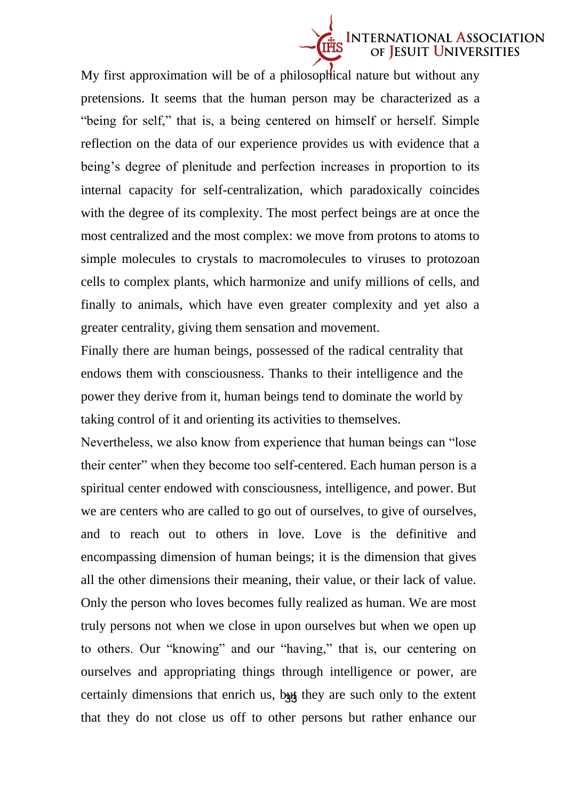My first approximation will be of a philosophical nature but without any pretensions. It seems that the human person may be characterized as a "being for self," that is, a being centered on himself or herself. Simple reflection on the data of our experience provides us with evidence that a being's degree of plenitude and perfection increases in proportion to its internal capacity for self-centralization, which paradoxically coincides with the degree of its complexity. The most perfect beings are at once the most centralized and the most complex: we move from protons to atoms to simple molecules to crystals to macromolecules to viruses to protozoan cells to complex plants, which harmonize and unify millions of cells, and finally to animals, which have even greater complexity and yet also a greater centrality, giving them sensation and movement.

Finally there are human beings, possessed of the radical centrality that endows them with consciousness. Thanks to their intelligence and the power they derive from it, human beings tend to dominate the world by taking control of it and orienting its activities to themselves.

certainly dimensions that enrich us, but they are such only to the extent Nevertheless, we also know from experience that human beings can "lose their center" when they become too self-centered. Each human person is a spiritual center endowed with consciousness, intelligence, and power. But we are centers who are called to go out of ourselves, to give of ourselves, and to reach out to others in love. Love is the definitive and encompassing dimension of human beings; it is the dimension that gives all the other dimensions their meaning, their value, or their lack of value. Only the person who loves becomes fully realized as human. We are most truly persons not when we close in upon ourselves but when we open up to others. Our "knowing" and our "having," that is, our centering on ourselves and appropriating things through intelligence or power, are that they do not close us off to other persons but rather enhance our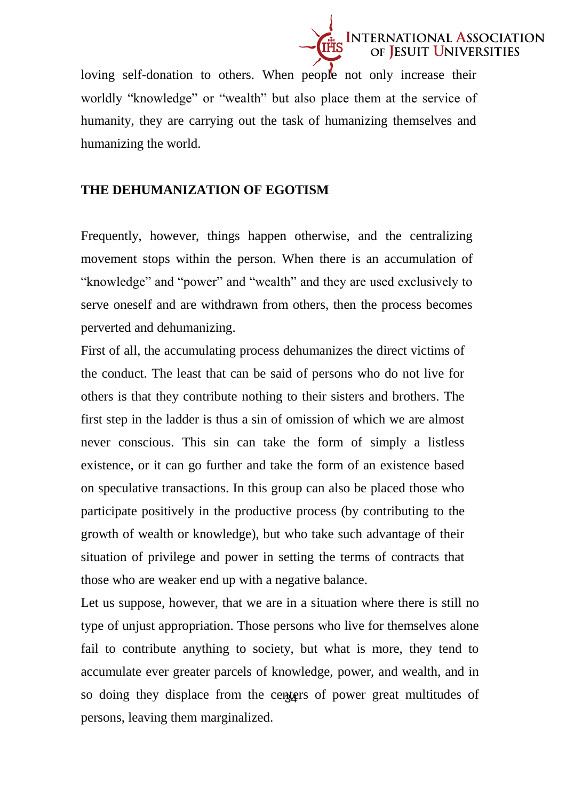

loving self-donation to others. When people not only increase their worldly "knowledge" or "wealth" but also place them at the service of humanity, they are carrying out the task of humanizing themselves and humanizing the world.

### **THE DEHUMANIZATION OF EGOTISM**

Frequently, however, things happen otherwise, and the centralizing movement stops within the person. When there is an accumulation of "knowledge" and "power" and "wealth" and they are used exclusively to serve oneself and are withdrawn from others, then the process becomes perverted and dehumanizing.

First of all, the accumulating process dehumanizes the direct victims of the conduct. The least that can be said of persons who do not live for others is that they contribute nothing to their sisters and brothers. The first step in the ladder is thus a sin of omission of which we are almost never conscious. This sin can take the form of simply a listless existence, or it can go further and take the form of an existence based on speculative transactions. In this group can also be placed those who participate positively in the productive process (by contributing to the growth of wealth or knowledge), but who take such advantage of their situation of privilege and power in setting the terms of contracts that those who are weaker end up with a negative balance.

so doing they displace from the centers of power great multitudes of Let us suppose, however, that we are in a situation where there is still no type of unjust appropriation. Those persons who live for themselves alone fail to contribute anything to society, but what is more, they tend to accumulate ever greater parcels of knowledge, power, and wealth, and in persons, leaving them marginalized.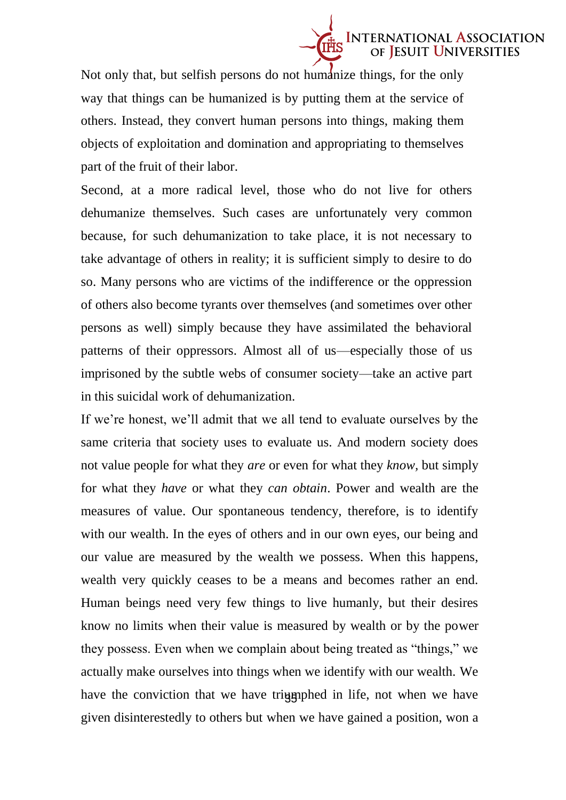Not only that, but selfish persons do not humanize things, for the only way that things can be humanized is by putting them at the service of others. Instead, they convert human persons into things, making them objects of exploitation and domination and appropriating to themselves part of the fruit of their labor.

Second, at a more radical level, those who do not live for others dehumanize themselves. Such cases are unfortunately very common because, for such dehumanization to take place, it is not necessary to take advantage of others in reality; it is sufficient simply to desire to do so. Many persons who are victims of the indifference or the oppression of others also become tyrants over themselves (and sometimes over other persons as well) simply because they have assimilated the behavioral patterns of their oppressors. Almost all of us—especially those of us imprisoned by the subtle webs of consumer society—take an active part in this suicidal work of dehumanization.

have the conviction that we have triggiphed in life, not when we have If we're honest, we'll admit that we all tend to evaluate ourselves by the same criteria that society uses to evaluate us. And modern society does not value people for what they *are* or even for what they *know,* but simply for what they *have* or what they *can obtain*. Power and wealth are the measures of value. Our spontaneous tendency, therefore, is to identify with our wealth. In the eyes of others and in our own eyes, our being and our value are measured by the wealth we possess. When this happens, wealth very quickly ceases to be a means and becomes rather an end. Human beings need very few things to live humanly, but their desires know no limits when their value is measured by wealth or by the power they possess. Even when we complain about being treated as "things," we actually make ourselves into things when we identify with our wealth. We given disinterestedly to others but when we have gained a position, won a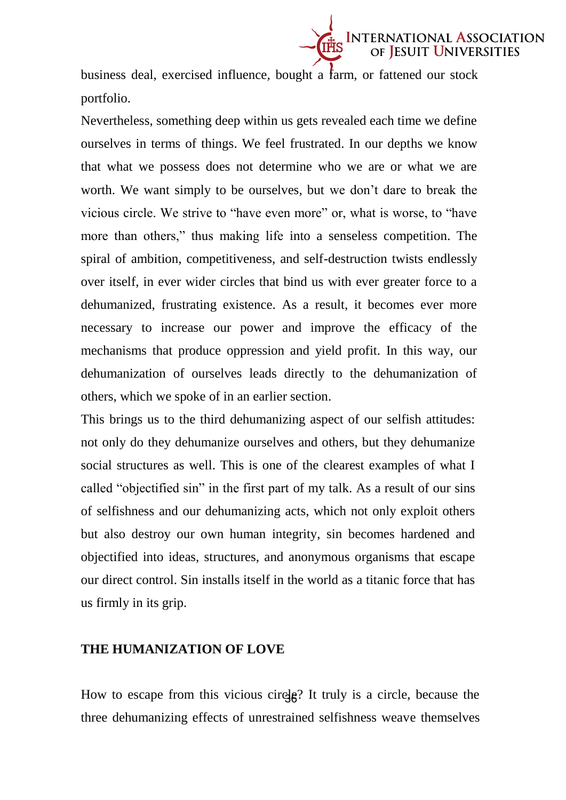business deal, exercised influence, bought a farm, or fattened our stock portfolio.

**INTERNATIONAL ASSOCIATION<br>OF JESUIT UNIVERSITIES** 

Nevertheless, something deep within us gets revealed each time we define ourselves in terms of things. We feel frustrated. In our depths we know that what we possess does not determine who we are or what we are worth. We want simply to be ourselves, but we don't dare to break the vicious circle. We strive to "have even more" or, what is worse, to "have more than others," thus making life into a senseless competition. The spiral of ambition, competitiveness, and self-destruction twists endlessly over itself, in ever wider circles that bind us with ever greater force to a dehumanized, frustrating existence. As a result, it becomes ever more necessary to increase our power and improve the efficacy of the mechanisms that produce oppression and yield profit. In this way, our dehumanization of ourselves leads directly to the dehumanization of others, which we spoke of in an earlier section.

This brings us to the third dehumanizing aspect of our selfish attitudes: not only do they dehumanize ourselves and others, but they dehumanize social structures as well. This is one of the clearest examples of what I called "objectified sin" in the first part of my talk. As a result of our sins of selfishness and our dehumanizing acts, which not only exploit others but also destroy our own human integrity, sin becomes hardened and objectified into ideas, structures, and anonymous organisms that escape our direct control. Sin installs itself in the world as a titanic force that has us firmly in its grip.

#### **THE HUMANIZATION OF LOVE**

How to escape from this vicious circle? It truly is a circle, because the three dehumanizing effects of unrestrained selfishness weave themselves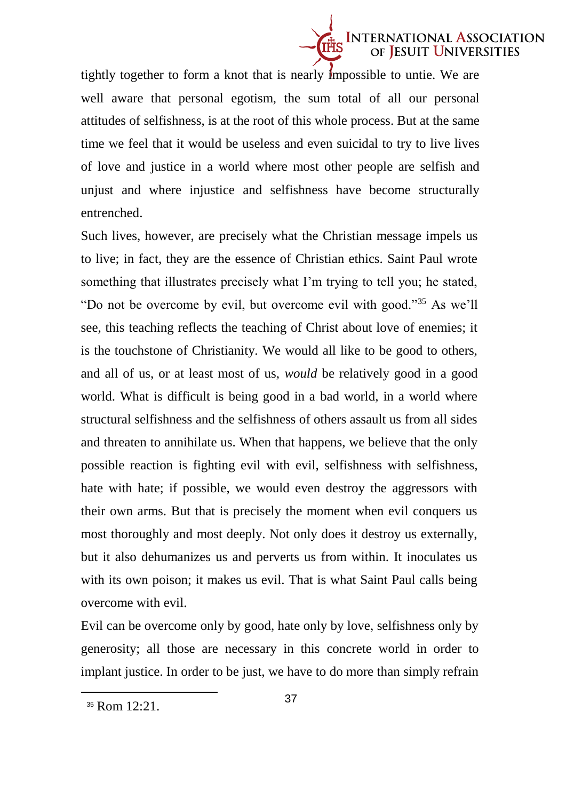tightly together to form a knot that is nearly impossible to untie. We are well aware that personal egotism, the sum total of all our personal attitudes of selfishness, is at the root of this whole process. But at the same time we feel that it would be useless and even suicidal to try to live lives of love and justice in a world where most other people are selfish and unjust and where injustice and selfishness have become structurally entrenched.

Such lives, however, are precisely what the Christian message impels us to live; in fact, they are the essence of Christian ethics. Saint Paul wrote something that illustrates precisely what I'm trying to tell you; he stated, "Do not be overcome by evil, but overcome evil with good."<sup>35</sup> As we'll see, this teaching reflects the teaching of Christ about love of enemies; it is the touchstone of Christianity. We would all like to be good to others, and all of us, or at least most of us, *would* be relatively good in a good world. What is difficult is being good in a bad world, in a world where structural selfishness and the selfishness of others assault us from all sides and threaten to annihilate us. When that happens, we believe that the only possible reaction is fighting evil with evil, selfishness with selfishness, hate with hate; if possible, we would even destroy the aggressors with their own arms. But that is precisely the moment when evil conquers us most thoroughly and most deeply. Not only does it destroy us externally, but it also dehumanizes us and perverts us from within. It inoculates us with its own poison; it makes us evil. That is what Saint Paul calls being overcome with evil.

Evil can be overcome only by good, hate only by love, selfishness only by generosity; all those are necessary in this concrete world in order to implant justice. In order to be just, we have to do more than simply refrain

<sup>35</sup> Rom 12:21.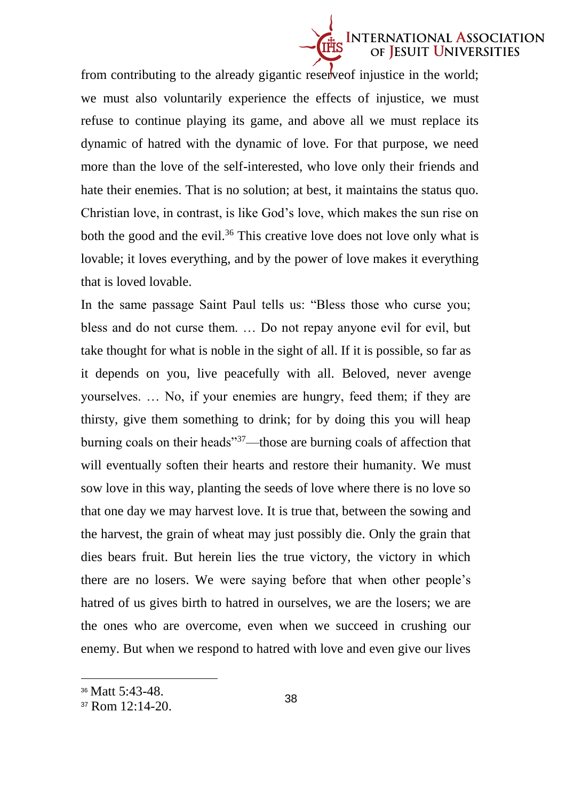from contributing to the already gigantic reserveof injustice in the world; we must also voluntarily experience the effects of injustice, we must refuse to continue playing its game, and above all we must replace its dynamic of hatred with the dynamic of love. For that purpose, we need more than the love of the self-interested, who love only their friends and hate their enemies. That is no solution; at best, it maintains the status quo. Christian love, in contrast, is like God's love, which makes the sun rise on both the good and the evil.<sup>36</sup> This creative love does not love only what is lovable; it loves everything, and by the power of love makes it everything that is loved lovable.

In the same passage Saint Paul tells us: "Bless those who curse you; bless and do not curse them. … Do not repay anyone evil for evil, but take thought for what is noble in the sight of all. If it is possible, so far as it depends on you, live peacefully with all. Beloved, never avenge yourselves. … No, if your enemies are hungry, feed them; if they are thirsty, give them something to drink; for by doing this you will heap burning coals on their heads"<sup>37</sup>—those are burning coals of affection that will eventually soften their hearts and restore their humanity. We must sow love in this way, planting the seeds of love where there is no love so that one day we may harvest love. It is true that, between the sowing and the harvest, the grain of wheat may just possibly die. Only the grain that dies bears fruit. But herein lies the true victory, the victory in which there are no losers. We were saying before that when other people's hatred of us gives birth to hatred in ourselves, we are the losers; we are the ones who are overcome, even when we succeed in crushing our enemy. But when we respond to hatred with love and even give our lives

<sup>36</sup> Matt 5:43-48.

 $37$  Rom  $12:14-20$ .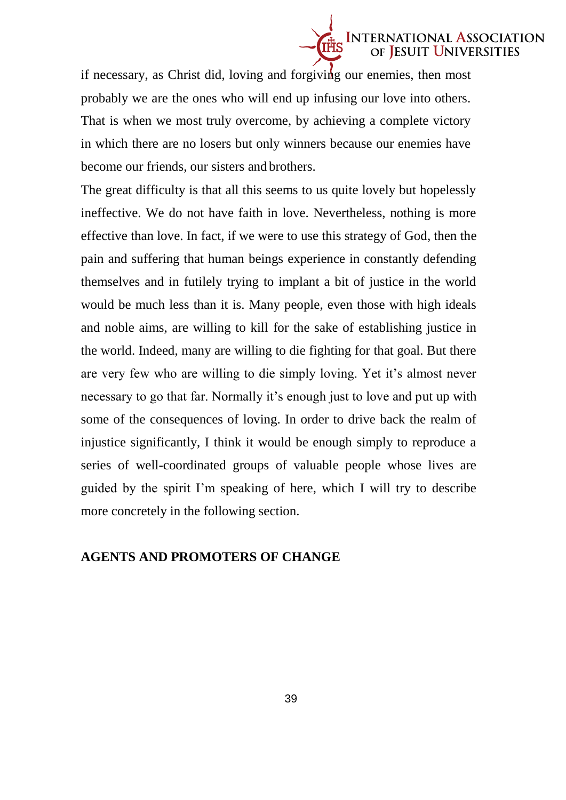if necessary, as Christ did, loving and forgiving our enemies, then most probably we are the ones who will end up infusing our love into others. That is when we most truly overcome, by achieving a complete victory in which there are no losers but only winners because our enemies have become our friends, our sisters and brothers.

The great difficulty is that all this seems to us quite lovely but hopelessly ineffective. We do not have faith in love. Nevertheless, nothing is more effective than love. In fact, if we were to use this strategy of God, then the pain and suffering that human beings experience in constantly defending themselves and in futilely trying to implant a bit of justice in the world would be much less than it is. Many people, even those with high ideals and noble aims, are willing to kill for the sake of establishing justice in the world. Indeed, many are willing to die fighting for that goal. But there are very few who are willing to die simply loving. Yet it's almost never necessary to go that far. Normally it's enough just to love and put up with some of the consequences of loving. In order to drive back the realm of injustice significantly, I think it would be enough simply to reproduce a series of well-coordinated groups of valuable people whose lives are guided by the spirit I'm speaking of here, which I will try to describe more concretely in the following section.

### **AGENTS AND PROMOTERS OF CHANGE**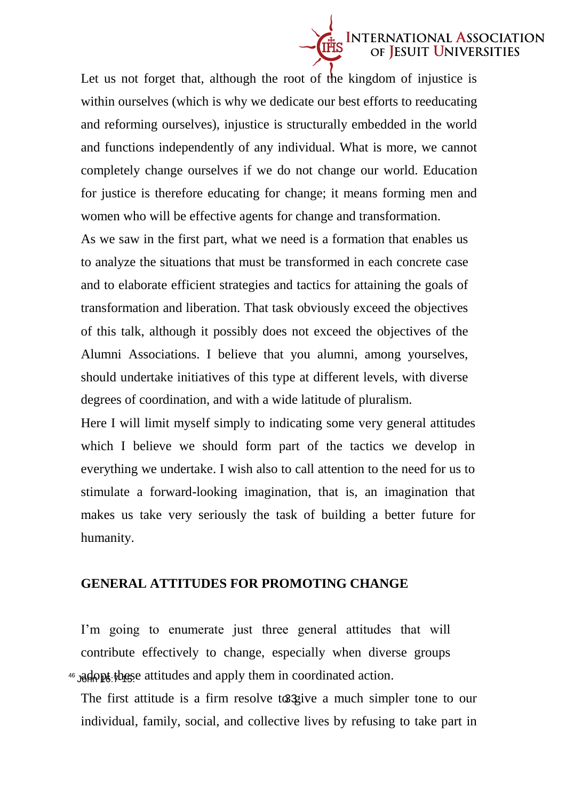Let us not forget that, although the root of the kingdom of injustice is within ourselves (which is why we dedicate our best efforts to reeducating and reforming ourselves), injustice is structurally embedded in the world and functions independently of any individual. What is more, we cannot completely change ourselves if we do not change our world. Education for justice is therefore educating for change; it means forming men and women who will be effective agents for change and transformation.

As we saw in the first part, what we need is a formation that enables us to analyze the situations that must be transformed in each concrete case and to elaborate efficient strategies and tactics for attaining the goals of transformation and liberation. That task obviously exceed the objectives of this talk, although it possibly does not exceed the objectives of the Alumni Associations. I believe that you alumni, among yourselves, should undertake initiatives of this type at different levels, with diverse degrees of coordination, and with a wide latitude of pluralism.

Here I will limit myself simply to indicating some very general attitudes which I believe we should form part of the tactics we develop in everything we undertake. I wish also to call attention to the need for us to stimulate a forward-looking imagination, that is, an imagination that makes us take very seriously the task of building a better future for humanity.

### **GENERAL ATTITUDES FOR PROMOTING CHANGE**

<sup>46</sup> Jadopt these attitudes and apply them in coordinated action. I'm going to enumerate just three general attitudes that will contribute effectively to change, especially when diverse groups

The first attitude is a firm resolve to a much simpler tone to our individual, family, social, and collective lives by refusing to take part in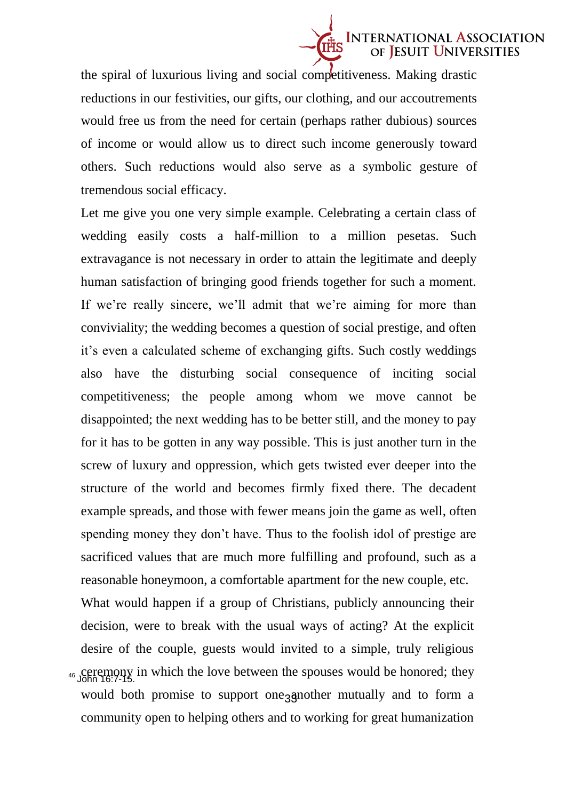the spiral of luxurious living and social competitiveness. Making drastic reductions in our festivities, our gifts, our clothing, and our accoutrements would free us from the need for certain (perhaps rather dubious) sources of income or would allow us to direct such income generously toward others. Such reductions would also serve as a symbolic gesture of tremendous social efficacy.

46 ceremony in which the love between the spouses would be honored; they would both promise to support one 3gnother mutually and to form a Let me give you one very simple example. Celebrating a certain class of wedding easily costs a half-million to a million pesetas. Such extravagance is not necessary in order to attain the legitimate and deeply human satisfaction of bringing good friends together for such a moment. If we're really sincere, we'll admit that we're aiming for more than conviviality; the wedding becomes a question of social prestige, and often it's even a calculated scheme of exchanging gifts. Such costly weddings also have the disturbing social consequence of inciting social competitiveness; the people among whom we move cannot be disappointed; the next wedding has to be better still, and the money to pay for it has to be gotten in any way possible. This is just another turn in the screw of luxury and oppression, which gets twisted ever deeper into the structure of the world and becomes firmly fixed there. The decadent example spreads, and those with fewer means join the game as well, often spending money they don't have. Thus to the foolish idol of prestige are sacrificed values that are much more fulfilling and profound, such as a reasonable honeymoon, a comfortable apartment for the new couple, etc. What would happen if a group of Christians, publicly announcing their decision, were to break with the usual ways of acting? At the explicit desire of the couple, guests would invited to a simple, truly religious

community open to helping others and to working for great humanization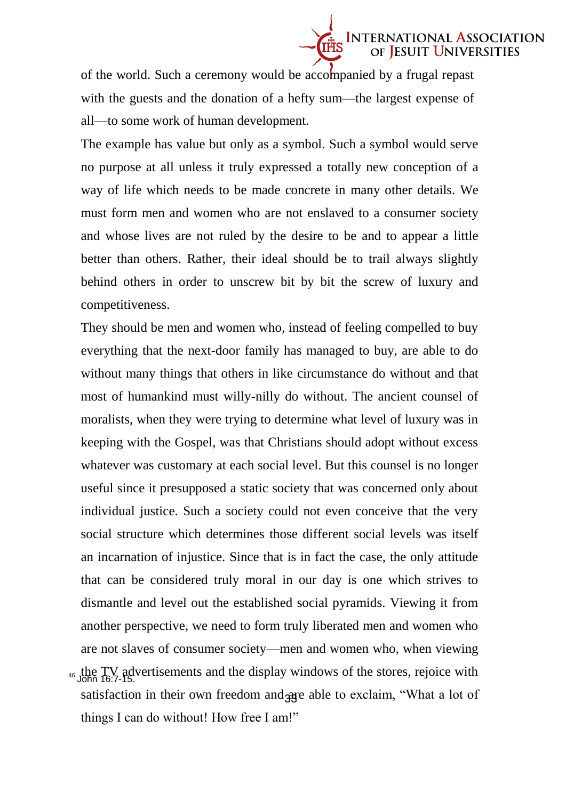of the world. Such a ceremony would be accompanied by a frugal repast with the guests and the donation of a hefty sum—the largest expense of all—to some work of human development.

The example has value but only as a symbol. Such a symbol would serve no purpose at all unless it truly expressed a totally new conception of a way of life which needs to be made concrete in many other details. We must form men and women who are not enslaved to a consumer society and whose lives are not ruled by the desire to be and to appear a little better than others. Rather, their ideal should be to trail always slightly behind others in order to unscrew bit by bit the screw of luxury and competitiveness.

<sup>46</sup>John 16:7-15. the TV advertisements and the display windows of the stores, rejoice with satisfaction in their own freedom and are able to exclaim, "What a lot of They should be men and women who, instead of feeling compelled to buy everything that the next-door family has managed to buy, are able to do without many things that others in like circumstance do without and that most of humankind must willy-nilly do without. The ancient counsel of moralists, when they were trying to determine what level of luxury was in keeping with the Gospel, was that Christians should adopt without excess whatever was customary at each social level. But this counsel is no longer useful since it presupposed a static society that was concerned only about individual justice. Such a society could not even conceive that the very social structure which determines those different social levels was itself an incarnation of injustice. Since that is in fact the case, the only attitude that can be considered truly moral in our day is one which strives to dismantle and level out the established social pyramids. Viewing it from another perspective, we need to form truly liberated men and women who are not slaves of consumer society—men and women who, when viewing things I can do without! How free I am!"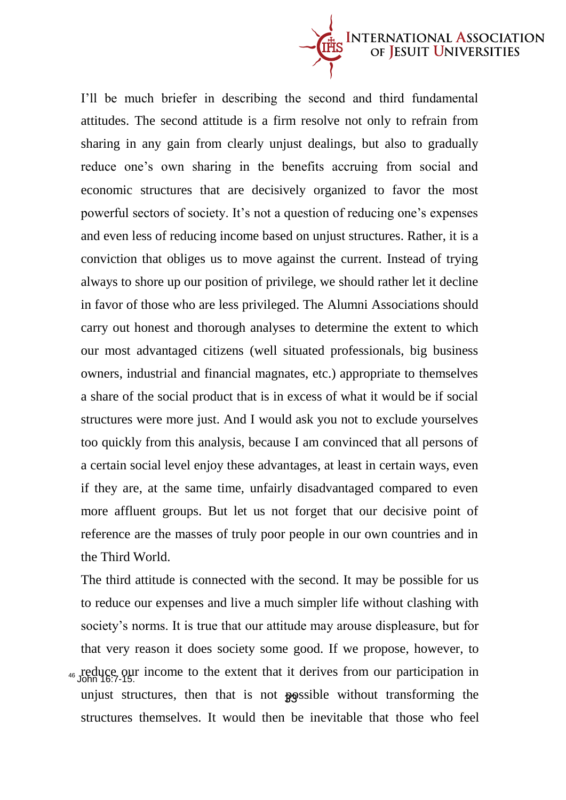I'll be much briefer in describing the second and third fundamental attitudes. The second attitude is a firm resolve not only to refrain from sharing in any gain from clearly unjust dealings, but also to gradually reduce one's own sharing in the benefits accruing from social and economic structures that are decisively organized to favor the most powerful sectors of society. It's not a question of reducing one's expenses and even less of reducing income based on unjust structures. Rather, it is a conviction that obliges us to move against the current. Instead of trying always to shore up our position of privilege, we should rather let it decline in favor of those who are less privileged. The Alumni Associations should carry out honest and thorough analyses to determine the extent to which our most advantaged citizens (well situated professionals, big business owners, industrial and financial magnates, etc.) appropriate to themselves a share of the social product that is in excess of what it would be if social structures were more just. And I would ask you not to exclude yourselves too quickly from this analysis, because I am convinced that all persons of a certain social level enjoy these advantages, at least in certain ways, even if they are, at the same time, unfairly disadvantaged compared to even more affluent groups. But let us not forget that our decisive point of reference are the masses of truly poor people in our own countries and in the Third World.

**INTERNATIONAL ASSOCIATION**<br>OF JESUIT UNIVERSITIES

46 reduce our income to the extent that it derives from our participation in unjust structures, then that is not possible without transforming the The third attitude is connected with the second. It may be possible for us to reduce our expenses and live a much simpler life without clashing with society's norms. It is true that our attitude may arouse displeasure, but for that very reason it does society some good. If we propose, however, to structures themselves. It would then be inevitable that those who feel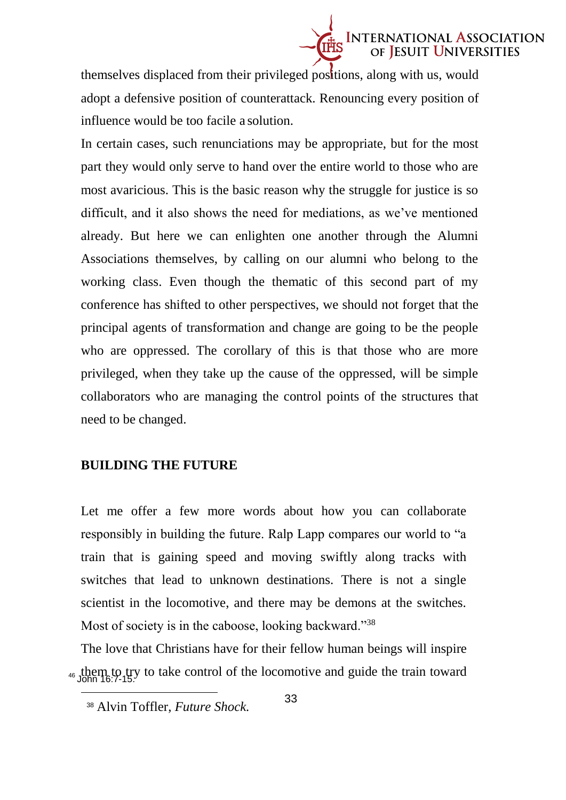themselves displaced from their privileged positions, along with us, would adopt a defensive position of counterattack. Renouncing every position of influence would be too facile a solution.

In certain cases, such renunciations may be appropriate, but for the most part they would only serve to hand over the entire world to those who are most avaricious. This is the basic reason why the struggle for justice is so difficult, and it also shows the need for mediations, as we've mentioned already. But here we can enlighten one another through the Alumni Associations themselves, by calling on our alumni who belong to the working class. Even though the thematic of this second part of my conference has shifted to other perspectives, we should not forget that the principal agents of transformation and change are going to be the people who are oppressed. The corollary of this is that those who are more privileged, when they take up the cause of the oppressed, will be simple collaborators who are managing the control points of the structures that need to be changed.

### **BUILDING THE FUTURE**

Let me offer a few more words about how you can collaborate responsibly in building the future. Ralp Lapp compares our world to "a train that is gaining speed and moving swiftly along tracks with switches that lead to unknown destinations. There is not a single scientist in the locomotive, and there may be demons at the switches. Most of society is in the caboose, looking backward."<sup>38</sup>

46 them to try to take control of the locomotive and guide the train toward The love that Christians have for their fellow human beings will inspire

<sup>38</sup> Alvin Toffler, *Future Shock.*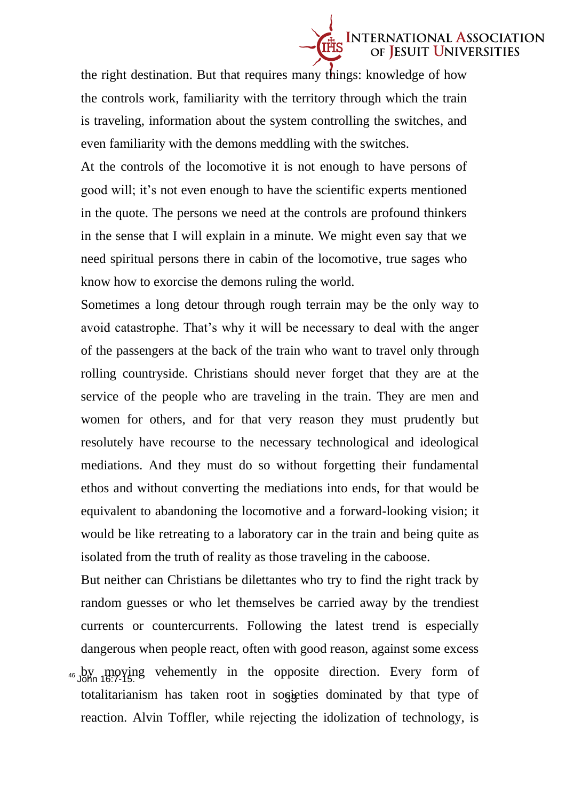the right destination. But that requires many things: knowledge of how the controls work, familiarity with the territory through which the train is traveling, information about the system controlling the switches, and even familiarity with the demons meddling with the switches.

At the controls of the locomotive it is not enough to have persons of good will; it's not even enough to have the scientific experts mentioned in the quote. The persons we need at the controls are profound thinkers in the sense that I will explain in a minute. We might even say that we need spiritual persons there in cabin of the locomotive, true sages who know how to exorcise the demons ruling the world.

Sometimes a long detour through rough terrain may be the only way to avoid catastrophe. That's why it will be necessary to deal with the anger of the passengers at the back of the train who want to travel only through rolling countryside. Christians should never forget that they are at the service of the people who are traveling in the train. They are men and women for others, and for that very reason they must prudently but resolutely have recourse to the necessary technological and ideological mediations. And they must do so without forgetting their fundamental ethos and without converting the mediations into ends, for that would be equivalent to abandoning the locomotive and a forward-looking vision; it would be like retreating to a laboratory car in the train and being quite as isolated from the truth of reality as those traveling in the caboose.

46 by moving vehemently in the opposite direction. Every form of totalitarianism has taken root in sogieties dominated by that type of But neither can Christians be dilettantes who try to find the right track by random guesses or who let themselves be carried away by the trendiest currents or countercurrents. Following the latest trend is especially dangerous when people react, often with good reason, against some excess reaction. Alvin Toffler, while rejecting the idolization of technology, is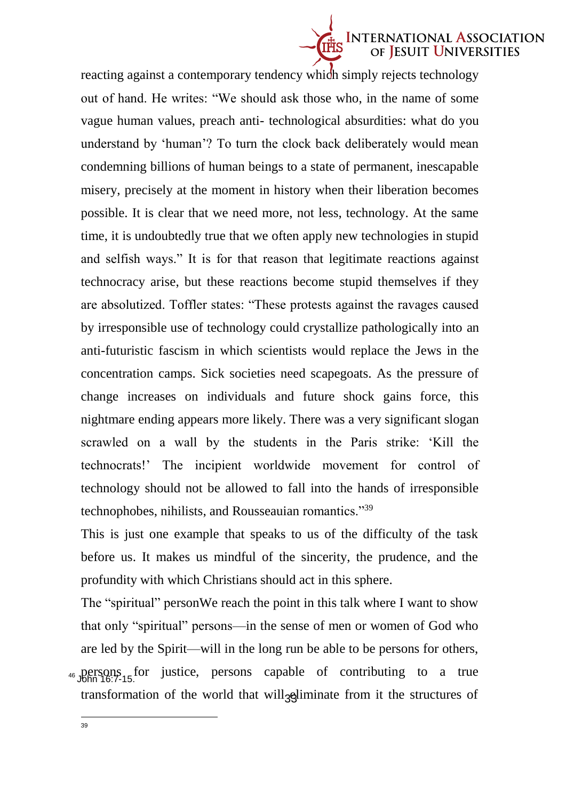reacting against a contemporary tendency which simply rejects technology out of hand. He writes: "We should ask those who, in the name of some vague human values, preach anti- technological absurdities: what do you understand by 'human'? To turn the clock back deliberately would mean condemning billions of human beings to a state of permanent, inescapable misery, precisely at the moment in history when their liberation becomes possible. It is clear that we need more, not less, technology. At the same time, it is undoubtedly true that we often apply new technologies in stupid and selfish ways." It is for that reason that legitimate reactions against technocracy arise, but these reactions become stupid themselves if they are absolutized. Toffler states: "These protests against the ravages caused by irresponsible use of technology could crystallize pathologically into an anti-futuristic fascism in which scientists would replace the Jews in the concentration camps. Sick societies need scapegoats. As the pressure of change increases on individuals and future shock gains force, this nightmare ending appears more likely. There was a very significant slogan scrawled on a wall by the students in the Paris strike: 'Kill the technocrats!' The incipient worldwide movement for control of technology should not be allowed to fall into the hands of irresponsible technophobes, nihilists, and Rousseauian romantics."<sup>39</sup>

This is just one example that speaks to us of the difficulty of the task before us. It makes us mindful of the sincerity, the prudence, and the profundity with which Christians should act in this sphere.

46 persons for justice, persons capable of contributing to a true transformation of the world that will<sub>3</sub>gliminate from it the structures of The "spiritual" personWe reach the point in this talk where I want to show that only "spiritual" persons—in the sense of men or women of God who are led by the Spirit—will in the long run be able to be persons for others,

—<br>39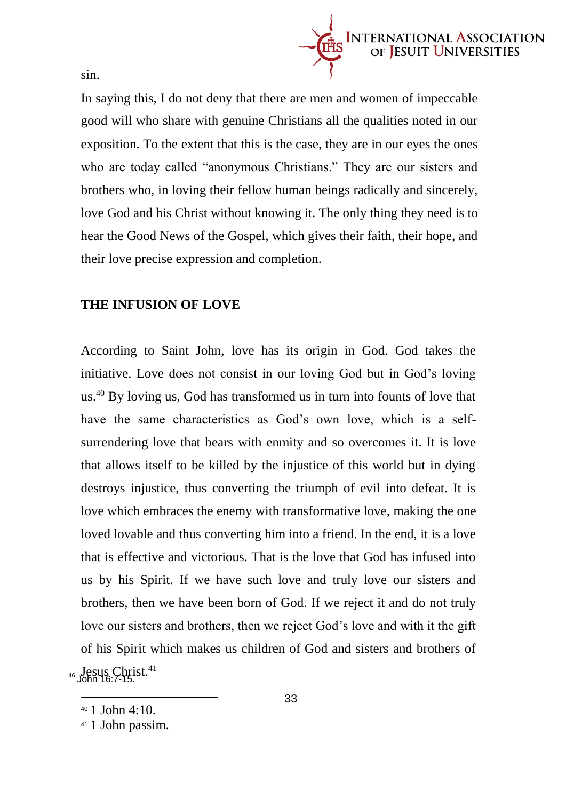sin.

In saying this, I do not deny that there are men and women of impeccable good will who share with genuine Christians all the qualities noted in our exposition. To the extent that this is the case, they are in our eyes the ones who are today called "anonymous Christians." They are our sisters and brothers who, in loving their fellow human beings radically and sincerely, love God and his Christ without knowing it. The only thing they need is to hear the Good News of the Gospel, which gives their faith, their hope, and their love precise expression and completion.

**INTERNATIONAL ASSOCIATION<br>OF JESUIT UNIVERSITIES** 

### **THE INFUSION OF LOVE**

46 Jesus Christ.<sup>41</sup><br>John 16:7-15. According to Saint John, love has its origin in God. God takes the initiative. Love does not consist in our loving God but in God's loving us.<sup>40</sup> By loving us, God has transformed us in turn into founts of love that have the same characteristics as God's own love, which is a selfsurrendering love that bears with enmity and so overcomes it. It is love that allows itself to be killed by the injustice of this world but in dying destroys injustice, thus converting the triumph of evil into defeat. It is love which embraces the enemy with transformative love, making the one loved lovable and thus converting him into a friend. In the end, it is a love that is effective and victorious. That is the love that God has infused into us by his Spirit. If we have such love and truly love our sisters and brothers, then we have been born of God. If we reject it and do not truly love our sisters and brothers, then we reject God's love and with it the gift of his Spirit which makes us children of God and sisters and brothers of

1

<sup>40</sup> 1 John 4:10.

<sup>41</sup> 1 John passim.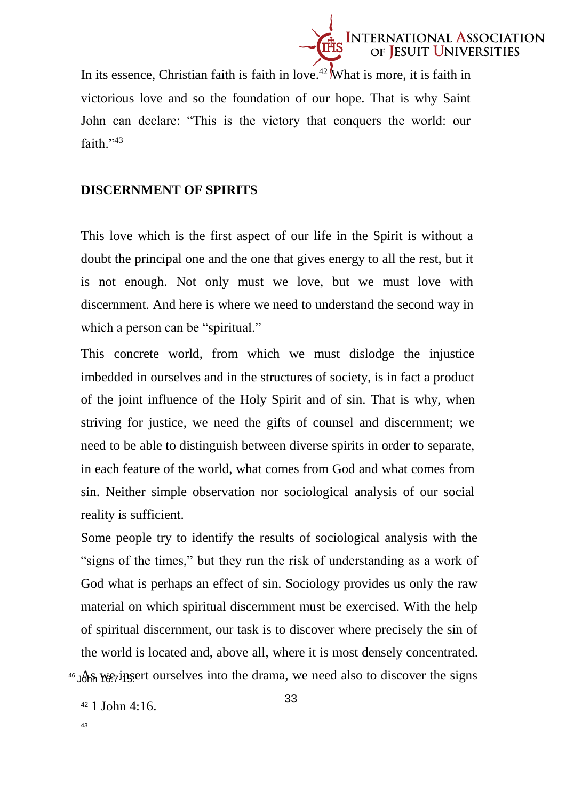

In its essence, Christian faith is faith in love.<sup>42</sup> What is more, it is faith in victorious love and so the foundation of our hope. That is why Saint John can declare: "This is the victory that conquers the world: our faith."43

#### **DISCERNMENT OF SPIRITS**

This love which is the first aspect of our life in the Spirit is without a doubt the principal one and the one that gives energy to all the rest, but it is not enough. Not only must we love, but we must love with discernment. And here is where we need to understand the second way in which a person can be "spiritual."

This concrete world, from which we must dislodge the injustice imbedded in ourselves and in the structures of society, is in fact a product of the joint influence of the Holy Spirit and of sin. That is why, when striving for justice, we need the gifts of counsel and discernment; we need to be able to distinguish between diverse spirits in order to separate, in each feature of the world, what comes from God and what comes from sin. Neither simple observation nor sociological analysis of our social reality is sufficient.

<sup>46</sup> John We insert ourselves into the drama, we need also to discover the signs Some people try to identify the results of sociological analysis with the "signs of the times," but they run the risk of understanding as a work of God what is perhaps an effect of sin. Sociology provides us only the raw material on which spiritual discernment must be exercised. With the help of spiritual discernment, our task is to discover where precisely the sin of the world is located and, above all, where it is most densely concentrated.

 $42$  1 John 4:16.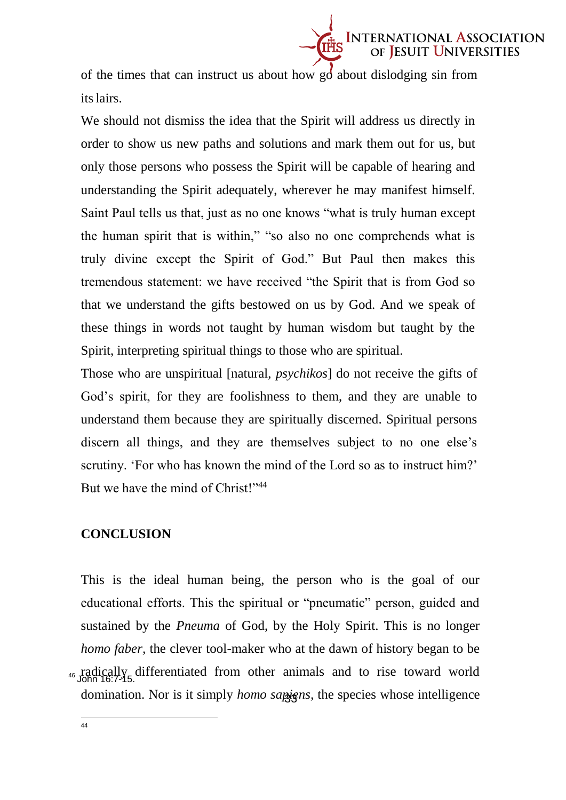of the times that can instruct us about how  $g\dot{d}$  about dislodging sin from itslairs.

**INTERNATIONAL ASSOCIATION**<br>OF JESUIT UNIVERSITIES

We should not dismiss the idea that the Spirit will address us directly in order to show us new paths and solutions and mark them out for us, but only those persons who possess the Spirit will be capable of hearing and understanding the Spirit adequately, wherever he may manifest himself. Saint Paul tells us that, just as no one knows "what is truly human except the human spirit that is within," "so also no one comprehends what is truly divine except the Spirit of God." But Paul then makes this tremendous statement: we have received "the Spirit that is from God so that we understand the gifts bestowed on us by God. And we speak of these things in words not taught by human wisdom but taught by the Spirit, interpreting spiritual things to those who are spiritual.

Those who are unspiritual [natural, *psychikos*] do not receive the gifts of God's spirit, for they are foolishness to them, and they are unable to understand them because they are spiritually discerned. Spiritual persons discern all things, and they are themselves subject to no one else's scrutiny. 'For who has known the mind of the Lord so as to instruct him?' But we have the mind of Christ!"<sup>44</sup>

### **CONCLUSION**

46 radically<sub>5</sub> differentiated from other animals and to rise toward world domination. Nor is it simply *homo sapigns*, the species whose intelligence This is the ideal human being, the person who is the goal of our educational efforts. This the spiritual or "pneumatic" person, guided and sustained by the *Pneuma* of God, by the Holy Spirit. This is no longer *homo faber*, the clever tool-maker who at the dawn of history began to be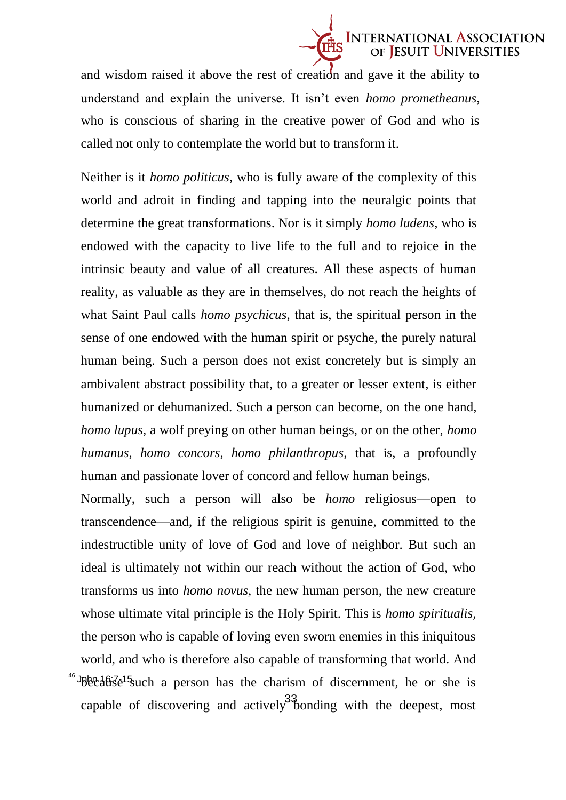and wisdom raised it above the rest of creation and gave it the ability to understand and explain the universe. It isn't even *homo prometheanus*, who is conscious of sharing in the creative power of God and who is called not only to contemplate the world but to transform it.

**INTERNATIONAL ASSOCIATION**<br>OF **JESUIT UNIVERSITIES** 

Neither is it *homo politicus*, who is fully aware of the complexity of this world and adroit in finding and tapping into the neuralgic points that determine the great transformations. Nor is it simply *homo ludens*, who is endowed with the capacity to live life to the full and to rejoice in the intrinsic beauty and value of all creatures. All these aspects of human reality, as valuable as they are in themselves, do not reach the heights of what Saint Paul calls *homo psychicus*, that is, the spiritual person in the sense of one endowed with the human spirit or psyche, the purely natural human being. Such a person does not exist concretely but is simply an ambivalent abstract possibility that, to a greater or lesser extent, is either humanized or dehumanized. Such a person can become, on the one hand, *homo lupus*, a wolf preying on other human beings, or on the other, *homo humanus, homo concors, homo philanthropus,* that is, a profoundly human and passionate lover of concord and fellow human beings.

<sup>46 J</sup>Becatus <sup>46</sup> Jean-15. The 15 is the charism of discernment, he or she is capable of discovering and actively<sup>33</sup> bonding with the deepest, most Normally, such a person will also be *homo* religiosus—open to transcendence—and, if the religious spirit is genuine, committed to the indestructible unity of love of God and love of neighbor. But such an ideal is ultimately not within our reach without the action of God, who transforms us into *homo novus,* the new human person, the new creature whose ultimate vital principle is the Holy Spirit. This is *homo spiritualis,*  the person who is capable of loving even sworn enemies in this iniquitous world, and who is therefore also capable of transforming that world. And